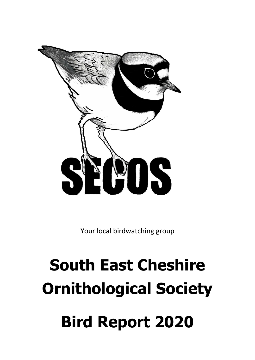

Your local birdwatching group

# **South East Cheshire Ornithological Society Bird Report 2020**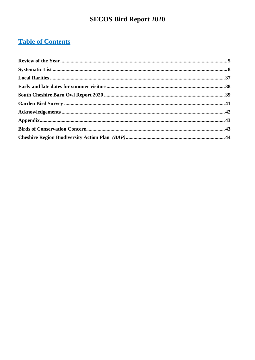# **Table of Contents**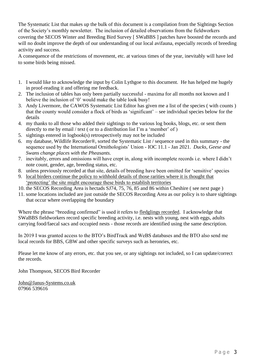The Systematic List that makes up the bulk of this document is a compilation from the Sightings Section of the Society's monthly newsletter. The inclusion of detailed observations from the fieldworkers covering the SECOS Winter and Breeding Bird Survey [ SWaBBS ] patches have boosted the records and will no doubt improve the depth of our understanding of our local avifauna, especially records of breeding activity and success.

A consequence of the restrictions of movement, etc. at various times of the year, inevitably will have led to some birds being missed.

- 1. I would like to acknowledge the input by Colin Lythgoe to this document. He has helped me hugely in proof-reading it and offering me feedback.
- 2. The inclusion of tables has only been partially successful maxima for all months not known and I believe the inclusion of '0' would make the table look busy!
- 3. Andy Livermore, the CAWOS Systematic List Editor has given me a list of the species ( with counts ) that the county would consider a flock of birds as 'significant' – see individual species below for the details
- 4. my thanks to all those who added their sightings to the various log books, blogs, etc. or sent them directly to me by email / text ( or to a distribution list I'm a 'member' of )
- 5. sightings entered in logbook(s) retrospectively may not be included
- 6. my database, Wildlife Recorder®, sorted the Systematic List / sequence used in this summary the sequence used by the International Ornithologists' Union - IOC 11.1 - Jan 2021. *Ducks, Geese and Swans change places with the Pheasants.*
- 7. inevitably, errors and omissions will have crept in, along with incomplete records i.e. where I didn't note count, gender, age, breeding status, etc.
- 8. unless previously recorded at that site, details of breeding have been omitted for 'sensitive' species
- 9. local birders continue the policy to withhold details of those rarities where it is thought that 'protecting' the site might encourage these birds to establish territories
- 10. the SECOS Recording Area is hectads SJ74, 75, 76, 85 and 86 within Cheshire ( see next page )
- 11. some locations included are just outside the SECOS Recording Area as our policy is to share sightings that occur where overlapping the boundary

Where the phrase "breeding confirmed" is used it refers to fledglings recorded. I acknowledge that SWaBBS fieldworkers record specific breeding activity, i.e. nests with young, nest with eggs, adults carrying food/faecal sacs and occupied nests - those records are identified using the same description.

In 2019 I was granted access to the BTO's BirdTrack and WeBS databases and the BTO also send me local records for BBS, GBW and other specific surveys such as heronries, etc.

Please let me know of any errors, etc. that you see, or any sightings not included, so I can update/correct the records.

John Thompson, SECOS Bird Recorder

[John@Janus-Systems.co.uk](mailto:John@Janus-Systems.co.uk) 07966 539616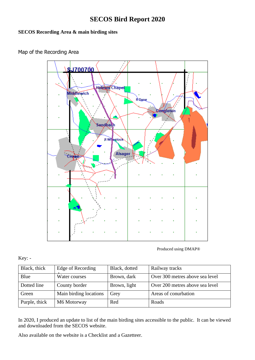### **SECOS Recording Area & main birding sites**

### Map of the Recording Area



Produced using DMAP®

#### Key: -

| Black, thick  | Edge of Recording      | Black, dotted | Railway tracks                  |
|---------------|------------------------|---------------|---------------------------------|
| Blue          | Water courses          | Brown, dark   | Over 300 metres above sea level |
| Dotted line   | County border          | Brown, light  | Over 200 metres above sea level |
| Green         | Main birding locations | Grey          | Areas of conurbation            |
| Purple, thick | M6 Motorway            | Red           | Roads                           |

In 2020, I produced an update to list of the main birding sites accessible to the public. It can be viewed and downloaded from the SECOS website.

Also available on the website is a Checklist and a Gazetteer.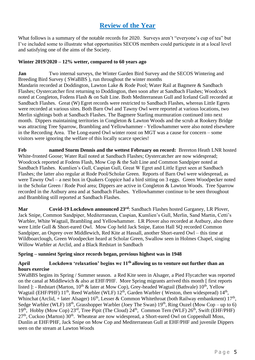## **Review of the Year**

<span id="page-4-0"></span>What follows is a summary of the notable records for 2020. Surveys aren't "everyone's cup of tea" but I've included some to illustrate what opportunities SECOS members could participate in at a local level and satisfying one of the aims of the Society.

#### **Winter 2019/2020 – 12% wetter, compared to 60 years ago**

**Jan** Two internal surveys, the Winter Garden Bird Survey and the SECOS Wintering and Breeding Bird Survey ( SWaBBS ), run throughout the winter months Mandarin recorded at Doddington, Lawton Lake & Rode Pool; Water Rail at Bagmere & Sandbach Flashes; Oystercatcher first returning to Doddington, then soon after at Sandbach Flashes; Woodcock noted at Congleton, Fodens Flash & on Salt Line. Both Mediterranean Gull and Iceland Gull recorded at Sandbach Flashes. Great (W) Egret records were restricted to Sandbach Flashes, whereas Little Egrets were recorded at various sites. Both Barn Owl and Tawny Owl were reported at various locations, two Merlin sightings both at Sandbach Flashes. The Bagmere Starling murmuration continued into next month. Dippers maintaining territories in Congleton & Lawton Woods and the scrub at Rookery Bridge was attracting Tree Sparrow, Brambling and Yellowhammer - Yellowhammer were also noted elsewhere in the Recording Area. The Long-eared Owl winter roost on MGT was a cause for concern – some visitors were ignoring the welfare of this locally scarce species!

**Feb named Storm Dennis and the wettest February on record:** Brereton Heath LNR hosted White-fronted Goose; Water Rail noted at Sandbach Flashes; Oystercatcher are now widespread; Woodcock reported at Fodens Flash, Mow Cop & the Salt Line and Common Sandpiper noted at Sandbach Flashes. Kumlien's Gull, Caspian Gull, Great W Egret and Little Egret seen at Sandbach Flashes; the latter also regular at Rode Pool/Scholar Green. Reports of Barn Owl were widespread, as were Tawny Owl – a nest box in Quakers Coppice had a bird sitting on 3 eggs. Green Woodpecker noted in the Scholar Green / Rode Pool area; Dippers are active in Congleton & Lawton Woods. Tree Sparrow recorded in the Astbury area and at Sandbach Flashes. Yellowhammer continue to be seen throughout and Brambling still reported at Sandbach Flashes.

**Mar Covid-19 Lockdown announced 23rd**: Sandbach Flashes hosted Garganey, LR Plover, Jack Snipe, Common Sandpiper, Mediterranean, Caspian, Kumlien's Gull, Merlin, Sand Martin, Cetti's Warbler, White Wagtail, Brambling and Yellowhammer. LR Plover also recorded at Astbury, also there were Little Gull & Short-eared Owl. Mow Cop held Jack Snipe, Eaton Hall SO recorded Common Sandpiper, an Osprey over Middlewich, Red Kite at Hassall, another Short-eared Owl – this time at Wildboarclough, Green Woodpecker heard at Scholar Green, Swallow seen in Holmes Chapel, singing Willow Warbler at Arclid, and a Black Redstart in Sandbach

#### **Spring – sunniest Spring since records began, previous highest was in 1948**

#### **April Lockdown 'relaxation' begins wc 11th allowing us to venture out further than an hours exercise**

SWaBBS begins its Spring / Summer season. a Red Kite seen in Alsager, a Pied Flycatcher was reported on the canal at Middlewich & also at EHF/PHF. More Spring migrants arrived this month [ first reports listed ]: - Redstart (Marton,  $10^{th}$  & later at Mow Cop), Grey-headed Wagtail (Bathvale)  $10^{th}$ , Yellow Wagtail (EHF/PHF)  $11^{th}$ , Reed Warbler (WLF)  $12^{th}$ , Garden Warbler (Weston, then widespread)  $14^{th}$ , Whinchat (Arclid, + later Alsager)  $16<sup>th</sup>$ , Lesser & Common Whitethroat (both Railway embankment)  $17<sup>th</sup>$ , Sedge Warbler (WLF)  $18<sup>th</sup>$ , Grasshopper Warbler (Joey The Swan)  $19<sup>th</sup>$ , Ring Ouzel (Mow Cop – up to 6)  $19<sup>th</sup>$ , Hobby (Mow Cop)  $23<sup>rd</sup>$ , Tree Pipit (The Cloud)  $24<sup>th</sup>$ , Common Tern (WLF)  $26<sup>th</sup>$ , Swift (EHF/PHF)  $27<sup>th</sup>$ , Cuckoo (Marton)  $30<sup>th</sup>$ . Wheatear are now widespread, a Short-eared Owl on Coppenhall Moss, Dunlin at EHF/PHF, Jack Snipe on Mow Cop and Mediterranean Gull at EHF/PHF and juvenile Dippers seen on the stream at Lawton Woods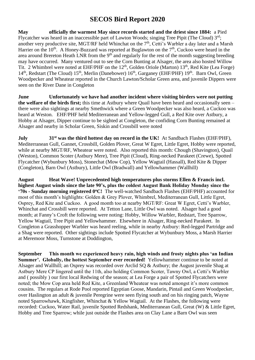**May officially the warmest May since records started and the driest since 1884:** a Pied Flycatcher was heard in an inaccessible part of Lawton Woods; singing Tree Pipit (The Cloud)  $3<sup>rd</sup>$ ; another very productive site, MGT/RF held Whinchat on the 7<sup>th</sup>, Cetti's Warbler a day later and a Marsh Harrier on the  $10^{th}$ . A Honey-Buzzard was reported at Buglawton on the  $7^{th}$ , Cuckoo were heard in the area around Brereton Heath LNR from the 9<sup>th</sup> and regularly for the rest of the month suggesting breeding may have occurred. Many ventured out to see the Corn Bunting at Alsager, the area also hosted Willow Tit. 2 Whimbrel were noted at EHF/PHF on the 12<sup>th</sup>, Golden Oriole (Marton) 13<sup>th</sup>, Red Kite (Lea Forge) 14<sup>th</sup>, Redstart (The Cloud) 15<sup>th</sup>, Merlin (Danebower) 16<sup>th</sup>, Garganey (EHF/PHF) 19<sup>th</sup>. Barn Owl, Green Woodpecker and Wheatear reported in the Church Lawton/Scholar Green area, and juvenile Dippers were seen on the River Dane in Congleton

**June Unfortunately we have had another incident where visiting birders were not putting the welfare of the birds first;** this time at Astbury where Quail have been heard and occasionally seen – there were also sightings at nearby Smethwick where a Green Woodpecker was also heard, a Cuckoo was heard at Weston. EHF/PHF held Mediterranean and Yellow-legged Gull, a Red Kite over Astbury, a Hobby at Alsager, Dipper continue to be sighted at Congleton, the confiding Corn Bunting remained at Alsager and nearby in Scholar Green, Siskin and Crossbill were noted

**July** 31<sup>st</sup> was the third hottest day on record in the UK! At Sandbach Flashes (EHF/PHF), Mediterranean Gull, Gannet, Crossbill, Golden Plover, Great W Egret, Little Egret, Hobby were reported, while at nearby MGT/RF, Wheatear were noted. Also reported this month: Chough (Shavington), Quail (Weston), Common Scoter (Astbury Mere), Tree Pipit (Cloud), Ring-necked Parakeet (Crewe), Spotted Flycatcher (Wybunbury Moss), Stonechat (Mow Cop), Yellow Wagtail (Hassall), Red Kite & Dipper (Congleton), Barn Owl (Astbury), Little Owl (Bradwall) and Yellowhammer (Wallhill)

**August Heat Wave! Unprecedented high temperatures plus storms Ellen & Francis incl. highest August winds since the late 90's, plus the coldest August Bank Holiday Monday since the '70s - Sunday morning registered 0<sup>o</sup>C!** The well-watched Sandbach Flashes (EHF/PHF) accounted for most of this month's highlights: Golden & Grey Plover, Whimbrel, Mediterranean Gull, Little Egret, Osprey, Red Kite and Cuckoo. A good month too at nearby MGT/RF: Great W Egret, Cetti's Warbler, Whinchat and Crossbill were reported. At Tetton Lane, Little Owl was noted. Alsager had a good month; at Fanny's Croft the following were noting: Hobby, Willow Warbler, Redstart, Tree Sparrow, Yellow Wagtail, Tree Pipit and Yellowhammer. Elsewhere in Alsager, Ring-necked Parakeet. In Congleton a Grasshopper Warbler was heard reeling, while in nearby Astbury: Red-legged Partridge and a Shag were reported. Other sightings include Spotted Flycatcher at Wybunbury Moss, a Marsh Harrier at Meremoor Moss, Turnstone at Doddington,

**September This month we experienced heavy rain, high winds and frosty nights plus 'an Indian Summer'. Globally, the hottest September ever recorded!** Yellowhammer continue to be noted at Alsager and Wallhill; an Osprey was recorded over Arclid SQ & Astbury; the August juvenile Shag at Astbury Mere CP lingered until the 11th, also holding Common Scoter, Tawny Owl, a Cetti's Warbler and ( possibly ) our first local Redwing of the season; at Lea Forge a pair of Spotted Flycatchers were noted; the Mow Cop area held Red Kite, a Greenland Wheatear was noted amongst it's more common cousins. The regulars at Rode Pool reported Egyptian Goose, Mandarin, Pintail and Green Woodpecker, over Haslington an adult & juvenile Peregrine were seen flying south and on his ringing patch, Wayne noted Sparrowhawk, Kingfisher, Whinchat & Yellow Wagtail. At the Flashes, the following were recorded: Cuckoo, Water Rail, juvenile Spotted Redshank, Mediterranean Gull, Great (W) & Little Egret, Hobby and Tree Sparrow; while just outside the Flashes area on Clay Lane a Barn Owl was seen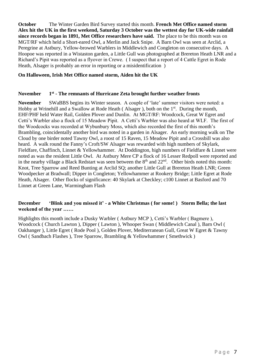**October** The Winter Garden Bird Survey started this month. **French Met Office named storm Alex hit the UK in the first weekend, Saturday 3 October was the wettest day for UK-wide rainfall since records began in 1891, Met Office researchers have said.** The place to be this month was on MGT/RF which held a Short-eared Owl, a Merlin and Jack Snipe. A Barn Owl was seen at Arclid, a Peregrine at Astbury, Yellow-browed Warblers in Middlewich and Congleton on consecutive days. A Hoopoe was reported in a Wistaston garden, a Little Gull was photographed at Brereton Heath LNR and a Richard's Pipit was reported as a flyover in Crewe. ( I suspect that a report of 4 Cattle Egret in Rode Heath, Alsager is probably an error in reporting or a misidentification )

#### **On Halloween, Irish Met Office named storm, Aiden hit the UK**

#### **November 1 st - The remnants of Hurricane Zeta brought further weather fronts**

**November** SWaBBS begins its Winter season. A couple of 'late' summer visitors were noted: a Hobby at Wrinehill and a Swallow at Rode Heath (Alsager), both on the  $1<sup>st</sup>$ . During the month, EHF/PHF held Water Rail, Golden Plover and Dunlin. At MGT/RF: Woodcock, Great W Egret and Cetti's Warbler also a flock of 15 Meadow Pipit. A Cetti's Warbler was also heard at WLF. The first of the Woodcocks was recorded at Wybunbury Moss, which also recorded the first of this month's Brambling, coincidentally another bird was noted in a garden in Alsager. An early morning walk on The Cloud by one birder noted Tawny Owl, a roost of 15 Raven, 15 Meadow Pipit and a Crossbill was also heard. A walk round the Fanny's Croft/SW Alsager was rewarded with high numbers of Skylark, Fieldfare, Chaffinch, Linnet & Yellowhammer. At Doddington, high numbers of Fieldfare & Linnet were noted as was the resident Little Owl. At Astbury Mere CP a flock of 16 Lesser Redpoll were reported and in the nearby village a Black Redstart was seen between the  $8<sup>th</sup>$  and  $22<sup>nd</sup>$ . Other birds noted this month: Knot, Tree Sparrow and Reed Bunting at Arclid SQ; another Little Gull at Brereton Heath LNR; Green Woodpecker at Bradwall; Dipper in Congleton; Yellowhammer at Rookery Bridge; Little Egret at Rode Heath, Alsager. Other flocks of significance: 40 Skylark at Checkley; c100 Linnet at Basford and 70 Linnet at Green Lane, Warmingham Flash

#### **December 'Blink and you missed it' - a White Christmas ( for some! ) Storm Bella; the last weekend of the year ……**

Highlights this month include a Dusky Warbler ( Astbury MCP ), Cetti's Warbler ( Bagmere ), Woodcock ( Church Lawton ), Dipper ( Lawton ), Whooper Swan ( Middlewich Canal ), Barn Owl ( Oakhanger ), Little Egret ( Rode Pool ), Golden Plover, Mediterranean Gull, Great W Egret & Tawny Owl ( Sandbach Flashes ), Tree Sparrow, Brambling & Yellowhammer ( Smethwick )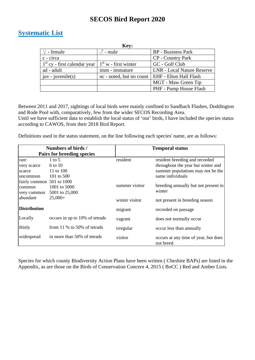### <span id="page-7-0"></span>**Systematic List**

|                                | Key:                                              |                                   |
|--------------------------------|---------------------------------------------------|-----------------------------------|
| $\mathcal{Q}$ - female         | $\delta$ - male                                   | <b>BP</b> - Business Park         |
| c - circa                      |                                                   | <b>CP</b> - Country Park          |
| $1st$ cy - first calendar year | $1st$ w - first winter                            | GC - Golf Club                    |
| ad - adult                     | imm - immature                                    | <b>LNR</b> - Local Nature Reserve |
| $\vert$ juv - juvenile(s)      | nc - noted, but no count   EHF - Elton Hall Flash |                                   |
|                                |                                                   | MGT - Maw Green Tip               |
|                                |                                                   | PHF - Pump House Flash            |

Between 2011 and 2017, sightings of local birds were mainly confined to Sandbach Flashes, Doddington and Rode Pool with, comparatively, few from the wider SECOS Recording Area. Until we have sufficient data to establish the local status of 'our' birds, I have included the species status according to CAWOS, from their 2018 Bird Report.

Definitions used in the status statement, on the line following each species' name, are as follows:

|                                                    | Numbers of birds /<br>Pairs for breeding species        |                | <b>Temporal status</b>                                                                                                        |
|----------------------------------------------------|---------------------------------------------------------|----------------|-------------------------------------------------------------------------------------------------------------------------------|
| rare<br>very scarce<br>scarce<br>uncommon          | $1 \text{ to } 5$<br>6 to 10<br>11 to 100<br>101 to 500 | resident       | resident breeding and recorded<br>throughout the year but winter and<br>summer populations may not be the<br>same individuals |
| fairly common 501 to 1000<br>common<br>very common | 1001 to 5000<br>5001 to 25,000                          | summer visitor | breeding annually but not present in<br>winter                                                                                |
| abundant                                           | $25,000+$                                               | winter visitor | not present in breeding season                                                                                                |
| <b>Distribution</b>                                |                                                         | migrant        | recorded on passage                                                                                                           |
| Locally                                            | occurs in up to 10% of tetrads                          | vagrant        | does not normally occur                                                                                                       |
| thinly                                             | from $11\%$ to 50% of tetrads                           | irregular      | occur less than annually                                                                                                      |
| widespread                                         | in more than 50% of tetrads                             | visitor        | occurs at any time of year, but does<br>not breed                                                                             |

Species for which county Biodiversity Action Plans have been written ( Cheshire BAPs) are listed in the Appendix, as are those on the Birds of Conservation Concern 4, 2015 ( BoCC ) Red and Amber Lists.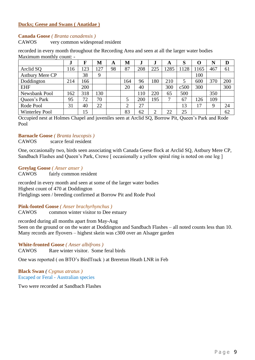#### **Ducks; Geese and Swans ( Anatidae )**

#### **Canada Goose** *( Branta canadensis )*

CAWOS very common widespread resident

| малицин попин сойн.    | J   | F   | M   | A  | M   | J.  |     | A    | S    | $\mathbf{\Omega}$ | N   | D   |
|------------------------|-----|-----|-----|----|-----|-----|-----|------|------|-------------------|-----|-----|
| Arclid SQ              | 116 | 123 | 127 | 98 | 87  | 208 | 225 | 1285 | 1128 | 1165              | 467 | 61  |
| <b>Astbury Mere CP</b> |     | 38  | 9   |    |     |     |     |      |      | 100               |     |     |
| Doddington             | 214 | 166 |     |    | 164 | 96  | 180 | 210  | 5    | 600               | 370 | 200 |
| <b>EHF</b>             |     | 200 |     |    | 20  | 40  |     | 300  | c500 | 300               |     | 300 |
| Newsbank Pool          | 162 | 318 | 130 |    |     | 110 | 220 | 65   | 500  |                   | 350 |     |
| Queen's Park           | 95  | 72  | 70  |    | 5   | 200 | 195 | 7    | 67   | 126               | 109 |     |
| Rode Pool              | 31  | 40  | 22  |    | ◠   | 27  |     |      | 13   | 17                | 9   | 24  |
| <b>Winterley Pool</b>  |     | 15  |     |    | 83  | 62  | ◠   | 22   | 25   |                   |     | 62  |

recorded in every month throughout the Recording Area and seen at all the larger water bodies Maximum monthly count: -

Occupied nest at Holmes Chapel and juveniles seen at Arclid SQ, Borrow Pit, Queen's Park and Rode Pool

#### **Barnacle Goose** *( Branta leucopsis )*

CAWOS scarce feral resident

One, occasionally two, birds seen associating with Canada Geese flock at Arclid SQ, Astbury Mere CP, Sandbach Flashes and Queen's Park, Crewe [ occasionally a yellow spiral ring is noted on one leg ]

#### **Greylag Goose** *( Anser anser )*

CAWOS fairly common resident

recorded in every month and seen at some of the larger water bodies Highest count of 470 at Doddington Fledglings seen / breeding confirmed at Borrow Pit and Rode Pool

#### **Pink-footed Goose** *( Anser brachyrhynchus )*

CAWOS common winter visitor to Dee estuary

recorded during all months apart from May-Aug Seen on the ground or on the water at Doddington and Sandbach Flashes – all noted counts less than 10. Many records are flyovers – highest skein was c300 over an Alsager garden

#### **White-fronted Goose** *( Anser albifrons )*

CAWOS Rare winter visitor. Some feral birds

One was reported ( on BTO's BirdTrack ) at Brereton Heath LNR in Feb

**Black Swan** *( Cygnus atratus )* Escaped or Feral - Australian species

Two were recorded at Sandbach Flashes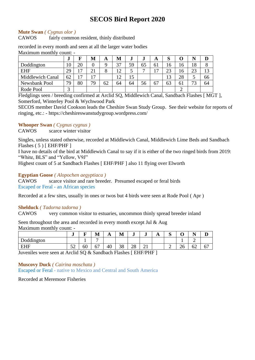#### **Mute Swan** *( Cygnus olor )*

CAWOS fairly common resident, thinly distributed

recorded in every month and seen at all the larger water bodies Maximum monthly count: -

|                         | $\bullet$      |                | M              | A      | M               | ., | J              | A                              | O<br>D |    |    |    |
|-------------------------|----------------|----------------|----------------|--------|-----------------|----|----------------|--------------------------------|--------|----|----|----|
| Doddington              | $\overline{0}$ | 20             |                |        | 37              | 59 | 65             | 61                             | 16     | 16 | 18 |    |
| <b>EHF</b>              | 29             | 17             | $\bigcap$      | O<br>Ω | 12 <sub>1</sub> | ◡  | $\overline{ }$ | $\mathbf \tau$                 | 23     | 16 | 23 |    |
| <b>Middlewich Canal</b> | 62             | $\overline{7}$ | $\overline{ }$ |        | 12              | 15 |                |                                | 13     | 28 | J  | 66 |
| Newsbank Pool           | 79             | 80             | 79             | 62     | 64              | 64 | 56             | $\overline{\phantom{a}}$<br>b, | 63     | 61 | רח | 64 |
| Rode Pool               | ⌒              |                |                |        |                 |    |                |                                |        |    |    |    |

Fledglings seen / breeding confirmed at Arclid SQ, Middlewich Canal, Sandbach Flashes [ MGT ], Somerford, Winterley Pool & Wychwood Park

SECOS member David Cookson leads the Cheshire Swan Study Group. See their website for reports of ringing, etc.: - https://cheshireswanstudygroup.wordpress.com/

#### **Whooper Swan** *( Cygnus cygnus )*

CAWOS scarce winter visitor

Singles, unless stated otherwise, recorded at Middlewich Canal, Middlewich Lime Beds and Sandbach Flashes ( 5 ) [ EHF/PHF ]

I have no details of the bird at Middlewich Canal to say if it is either of the two ringed birds from 2019: "White, BLS" and "Yellow, V9J"

Highest count of 5 at Sandbach Flashes [ EHF/PHF ] also 11 flying over Elworth

#### **Egyptian Goose** *( Alopochen aegyptiaca )*

CAWOS scarce visitor and rare breeder. Presumed escaped or feral birds Escaped or Feral - an African species

Recorded at a few sites, usually in ones or twos but 4 birds were seen at Rode Pool ( Apr )

#### **Shelduck** *( Tadorna tadorna )*

CAWOS very common visitor to estuaries, uncommon thinly spread breeder inland

Seen throughout the area and recorded in every month except Jul & Aug Maximum monthly count: -

|                                                     | IJ               | -       | M       | A  | M        | J        | J       | $\overline{A}$ | ∼<br>ັ | ີ            | --<br>-                        | ≖       |
|-----------------------------------------------------|------------------|---------|---------|----|----------|----------|---------|----------------|--------|--------------|--------------------------------|---------|
| $\mathbf{1}$<br>$\mathbf{\Gamma}$<br>rddington<br>ഫ |                  |         |         |    |          |          |         |                |        |              | -                              |         |
| <b>FHF</b><br>---                                   | $\epsilon$<br>◡▱ | ہ<br>60 | ╭<br>υ, | 40 | 20<br>эo | າ໑<br>20 | ⌒<br>∠⊥ |                | -      | $\cap$<br>∠∪ | $\overline{\phantom{a}}$<br>OΖ | --<br>◡ |

Juveniles were seen at Arclid SQ & Sandbach Flashes [ EHF/PHF ]

#### **Muscovy Duck** *( Cairina moschata )*

Escaped or Feral - native to Mexico and Central and South America

Recorded at Meremoor Fisheries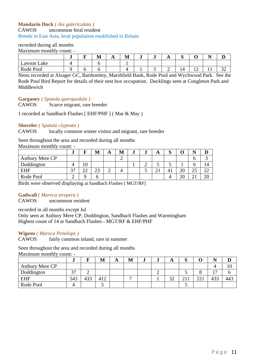#### **Mandarin Duck** *( Aix galericulata )*

CAWOS uncommon feral resident

Breeds in East Asia, feral population established in Britain

#### recorded during all months

Maximum monthly count: -

|                | <br>– | M | <b>A A</b> | . .<br>M | J | $\overline{A}$ | -<br>ັ |            |     | -             |
|----------------|-------|---|------------|----------|---|----------------|--------|------------|-----|---------------|
| Lake<br>Lawton |       |   |            |          |   |                |        |            |     |               |
| Rode Pool      |       |   |            |          |   | -              |        | . <u>.</u> | . . | $\sim$<br>ىدر |

Nests recorded at Alsager GC, Barthomley, Marshfield Bank, Rode Pool and Wychwood Park. See the Rode Pool Bird Report for details of their nest box occupation. Ducklings seen at Congleton Park and Middlewich

**Garganey** *( Spatula querquedula )*

CAWOS Scarce migrant, rare breeder

1 recorded at Sandbach Flashes [ EHF/PHF ] ( Mar & May )

#### **Shoveler** *( Spatula clypeata )*

CAWOS locally common winter visitor and migrant, rare breeder

#### Seen throughout the area and recorded during all months

Maximum monthly count: -

|                 | J             |                    | M       | A | M | J | w | A | $\sim$<br>N |                 | M         |             |
|-----------------|---------------|--------------------|---------|---|---|---|---|---|-------------|-----------------|-----------|-------------|
| Astbury Mere CP |               |                    |         |   |   |   |   |   |             |                 | v         |             |
| Doddington      |               | 10                 |         |   |   |   |   | ັ | ັ           |                 | O         | 14          |
| <b>EHF</b>      | $\sim$<br>. ت | $\mathbf{A}$<br>∠∠ | ີ<br>دړ | - |   |   |   | ◢ | 41          | $\cap$<br>∠∪    | つく<br>ر ے | $\cap$<br>∸ |
| Rode Pool       |               |                    | n       |   |   |   |   |   |             | $\bigcap$<br>∠⊾ | ∠         | ንበ<br>∠៶    |

Birds were observed displaying at Sandbach Flashes [ MGT/RF]

#### **Gadwall** *( Mareca strepera )*

CAWOS uncommon resident

recorded in all months except Jul

Only seen at Astbury Mere CP, Doddington, Sandbach Flashes and Warmingham Highest count of 14 at Sandbach Flashes - MGT/RF & EHF/PHF

#### **Wigeon** *( Mareca Penelope )*

CAWOS fairly common inland, rare in summer

Seen throughout the area and recorded during all months

Maximum monthly count: -

|                 | J             |     | M   | A | M | ÷ | e. | A             | ມ      |            |                          | ע   |
|-----------------|---------------|-----|-----|---|---|---|----|---------------|--------|------------|--------------------------|-----|
| Astbury Mere CP |               |     |     |   |   |   |    |               |        |            |                          | 1 U |
| Doddington      | $\cap$<br>، ب | ∸   |     |   |   |   |    |               | . .    |            | $\overline{\phantom{0}}$ |     |
| <b>EHF</b>      | 543           | 433 | 412 |   |   |   |    | $\cap$<br>ے ر | $\sim$ | 221<br>441 | 433                      | 443 |
| Rode Pool       |               |     |     |   |   |   |    |               |        |            |                          |     |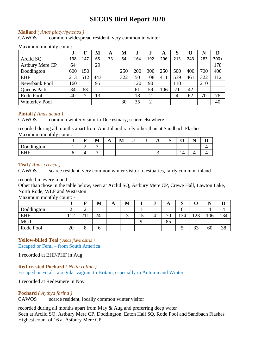#### **Mallard** *( Anas platyrhynchos )*

CAWOS common widespread resident, very common in winter

#### Maximum monthly count: -

|                        | ٠J  | F   | M   | A  | M   |     | ٠.             | A   | S              | 0   | N   | D      |
|------------------------|-----|-----|-----|----|-----|-----|----------------|-----|----------------|-----|-----|--------|
| Arclid SQ              | 198 | 147 | 65  | 33 | 54  | 164 | 192            | 296 | 213            | 243 | 283 | $300+$ |
| <b>Astbury Mere CP</b> | 64  |     | 29  |    |     |     |                |     |                |     |     | 178    |
| Doddington             | 600 | 150 |     |    | 250 | 200 | 300            | 250 | 500            | 400 | 700 | 400    |
| <b>EHF</b>             | 213 | 512 | 443 |    | 322 | 50  | 108            | 411 | 539            | 461 | 322 | 112    |
| Newsbank Pool          | 160 |     | 95  |    |     | 120 | 90             |     | 110            |     | 210 |        |
| <b>Queens Park</b>     | 34  | 63  |     |    |     | 61  | 59             | 106 | 71             | 42  |     |        |
| Rode Pool              | 40  | 7   | 13  |    |     | 18  | $\overline{2}$ |     | $\overline{4}$ | 62  | 70  | 76     |
| <b>Winterley Pool</b>  |     |     |     |    | 30  | 35  | $\overline{2}$ |     |                |     |     | 40     |

#### **Pintail** *( Anas acuta )*

CAWOS common winter visitor to Dee estuary, scarce elsewhere

recorded during all months apart from Apr-Jul and rarely other than at Sandbach Flashes Maximum monthly count: -

|                  | u | - | M | . . | $\blacksquare$<br>M | J | J | TТ  | ∼<br>ັ | $\overline{\phantom{0}}$<br>◡ | $\blacksquare$<br>- | ┻ |
|------------------|---|---|---|-----|---------------------|---|---|-----|--------|-------------------------------|---------------------|---|
| Doddington       |   | ∼ | ້ |     |                     |   |   |     |        |                               |                     |   |
| <b>FHF</b><br>பய |   |   |   |     |                     |   |   | . . |        | $\sqrt{ }$<br><br>. .         |                     |   |

#### **Teal** *( Anas crecca )*

CAWOS scarce resident, very common winter visitor to estuaries, fairly common inland

#### recorded in every month

Other than those in the table below, seen at Arclid SQ, Astbury Mere CP, Crewe Hall, Lawton Lake, North Rode, WLF and Wistaston

Maximum monthly count: -

|            | J                                |   | M   | A | M | e. | ÷ | A       | $\sim$<br>ມ |                   | <b>NT</b> |     |
|------------|----------------------------------|---|-----|---|---|----|---|---------|-------------|-------------------|-----------|-----|
| Doddington | ∸                                | ∼ |     |   |   |    |   |         |             |                   |           |     |
| <b>EHF</b> | 1 <sub>0</sub><br>$\overline{1}$ |   | 241 |   | ັ | 15 |   | 70<br>ν | 134         | $1 \cap 2$<br>⊥∠J | 106       | 134 |
| <b>MGT</b> |                                  |   |     |   |   |    |   | 85      |             |                   |           |     |
| Rode Pool  | 20                               |   | O   |   |   |    |   |         | ັ           | $\cap$<br>IJ      | 60        | 38  |

### **Yellow-billed Teal** *( Anas flavirostris )*

Escaped or Feral – from South America

1 recorded at EHF/PHF in Aug

**Red-crested Pochard** *( Netta rufina )* Escaped or Feral - a regular vagrant to Britain, especially in Autumn and Winter

1 recorded at Redesmere in Nov

#### **Pochard** *( Aythya farina )*

CAWOS scarce resident, locally common winter visitor

recorded during all months apart from May & Aug and preferring deep water Seen at Arclid SQ, Astbury Mere CP, Doddington, Eaton Hall SQ, Rode Pool and Sandbach Flashes Highest count of 16 at Astbury Mere CP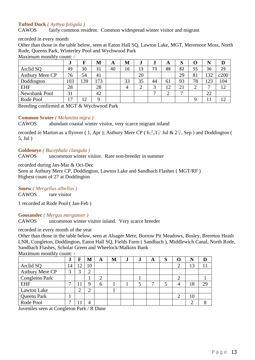#### **Tufted Duck** *( Aythya fuligula )*

CAWOS fairly common resident. Common widespread winter visitor and migrant

recorded in every month

Other than those in the table below, seen at Eaton Hall SQ, Lawton Lake, MGT, Meremoor Moss, North Rode, Queens Park, Winterley Pool and Wychwood Park

Maximum monthly count: -

|                        | w   |    | M   | A  | M  | .,     | J  | A                             | S  | 0  | N  |      |
|------------------------|-----|----|-----|----|----|--------|----|-------------------------------|----|----|----|------|
| Arclid SQ              | 49  | 30 | 31  | 40 | 16 | 13     | 73 | 88                            | 82 | 55 | 36 | 29   |
| <b>Astbury Mere CP</b> | 76  | 54 | 41  |    |    | 20     |    |                               | 29 | 81 | 32 | c200 |
| Doddington             | 103 | 39 | .73 |    | 33 | 35     | 44 | 61                            | 93 | 78 | 23 | 104  |
| <b>EHF</b>             | 28  |    | 28  |    | 4  | ⌒<br>↩ | ⌒  | $1^{\circ}$<br>$\overline{1}$ | 21 | ി  | −  | 12   |
| Newsbank Pool          | 31  |    | 42  |    |    |        | −  | ◠                             | −  |    | 22 |      |
| Rode Pool              | 17  |    | Q   |    |    |        |    |                               |    |    |    |      |

Breeding confirmed at MGT & Wychwood Park

#### **Common Scoter** *( Melanitta nigra )*

CAWOS abundant coastal winter visitor, very scarce migrant inland

recorded in Marton as a flyover (1, Apr); Astbury Mere CP ( $6\textdegree$ , 3 $\textdegree$  Jul & 2 $\textdegree$ , Sep) and Doddington ( 5, Jul )

#### **Goldeneye** *( Bucephala clangula )*

CAWOS uncommon winter visitor. Rare non-breeder in summer

recorded during Jan-Mar & Oct-Dec Seen at Astbury Mere CP, Doddington, Lawton Lake and Sandbach Flashes ( MGT/RF ) Highest count of 27 at Doddington

### **Smew** *( Mergellus albellus )*

CAWOS rare visitor

1 recorded at Rode Pool ( Jan-Feb )

#### **Goosander** *( Mergus merganser )*

CAWOS uncommon winter visitor inland. Very scarce breeder

#### recorded in every month of the year

Other than those in the table below, seen at Alsager Mere, Borrow Pit Meadows, Bosley, Brereton Heath LNR, Congleton, Doddington, Eaton Hall SQ, Fields Farm ( Sandbach ), Middlewich Canal, North Rode, Sandbach Flashes, Scholar Green and Wheelock/Malkins Bank Maximum monthly count: -

|                       | ٠J | F        | M  | A | M | J | ٠J. | A | D |   |    |    |
|-----------------------|----|----------|----|---|---|---|-----|---|---|---|----|----|
| Arclid SQ             | 14 | $\Omega$ | 10 |   |   |   |     |   |   | ⌒ | 13 |    |
| Astbury Mere CP       | 3  |          |    |   |   |   |     |   |   |   |    |    |
| <b>Congleton Park</b> |    |          |    | ⌒ |   |   |     |   |   | ⌒ |    |    |
| <b>EHF</b>            |    |          |    | 6 |   |   |     |   |   |   | 18 | 29 |
| Lawton Lake           |    |          | ◠  |   |   |   |     |   |   |   |    |    |
| Queens Park           |    |          |    |   |   |   |     |   |   | ⌒ | 10 |    |
| Rode Pool             |    |          |    |   |   |   |     |   |   |   |    |    |

Juveniles seen at Congleton Park / R Dane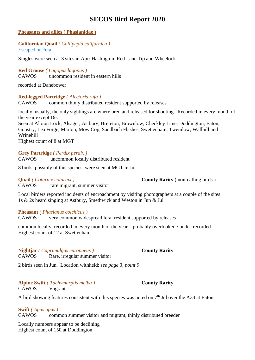#### **Pheasants and allies ( Phasianidae )**

#### **Californian Quail** *( Callipepla californica )* Escaped or Feral

Singles were seen at 3 sites in Apr: Haslington, Red Lane Tip and Wheelock

#### **Red Grouse** *( Lagopus lagopus )* CAWOS uncommon resident in eastern hills

recorded at Danebower

#### **Red-legged Partridge** *( Alectoris rufa )*

CAWOS common thinly distributed resident supported by releases

locally, usually, the only sightings are where bred and released for shooting. Recorded in every month of the year except Dec

Seen at Albion Lock, Alsager, Astbury, Brereton, Brownlow, Checkley Lane, Doddington, Eaton, Goostry, Lea Forge, Marton, Mow Cop, Sandbach Flashes, Swettenham, Twemlow, Wallhill and Wrinehill

Highest count of 8 at MGT

#### **Grey Partridge** *( Perdix perdix )*

CAWOS uncommon locally distributed resident

8 birds, possibly of this species, were seen at MGT in Jul

**Quail** *( Coturnix coturnix )* **County Rarity** ( non-calling birds )

CAWOS rare migrant, summer visitor

Local birders reported incidents of encroachment by visiting photographers at a couple of the sites 1s & 2s heard singing at Astbury, Smethwick and Weston in Jun & Jul

#### **Pheasant** *( Phasianus colchicus )*

CAWOS very common widespread feral resident supported by releases

common locally, recorded in every month of the year – probably overlooked / under-recorded Highest count of 12 at Swettenham

#### **Nightjar** *( Caprimulgus europaeus )* **County Rarity**

CAWOS Rare, irregular summer visitor

2 birds seen in Jun. Location withheld: *see page 3, point 9*

#### **Alpine Swift** *( Tachymarptis melba )* **County Rarity** CAWOS Vagrant

A bird showing features consistent with this species was noted on  $7<sup>th</sup>$  Jul over the A34 at Eaton

#### **Swift** *( Apus apus )*

CAWOS common summer visitor and migrant, thinly distributed breeder

Locally numbers appear to be declining Highest count of 150 at Doddington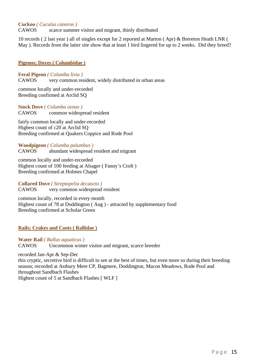**Cuckoo** *( Cuculus canorus )*

CAWOS scarce summer visitor and migrant, thinly distributed

10 records ( 2 last year ) all of singles except for 2 reported at Marton ( Apr) & Brereton Heath LNR ( May ). Records from the latter site show that at least 1 bird lingered for up to 2 weeks. Did they breed?

#### **Pigeons; Doves ( Columbidae )**

**Feral Pigeon** *( Columba livia )*

CAWOS very common resident, widely distributed in urban areas

common locally and under-recorded Breeding confirmed at Arclid SQ

**Stock Dove** *( Columba oenas )* CAWOS common widespread resident

fairly common locally and under-recorded Highest count of c20 at Arclid SQ Breeding confirmed at Quakers Coppice and Rode Pool

#### **Woodpigeon** *( Columba palumbus )*

CAWOS abundant widespread resident and migrant

common locally and under-recorded Highest count of 100 feeding at Alsager ( Fanny's Croft ) Breeding confirmed at Holmes Chapel

**Collared Dove** *( Streptopelia decaocto )* CAWOS very common widespread resident

common locally, recorded in every month Highest count of 78 at Doddington ( Aug ) - attracted by supplementary food Breeding confirmed at Scholar Green

#### **Rails; Crakes and Coots ( Rallidae )**

**Water Rail** *( Rallus aquaticus )* CAWOS Uncommon winter visitor and migrant, scarce breeder

recorded Jan-Apr & Sep-Dec this cryptic, secretive bird is difficult to see at the best of times, but even more so during their breeding season; recorded at Astbury Mere CP, Bagmere, Doddington, Macon Meadows, Rode Pool and throughout Sandbach Flashes

Highest count of 5 at Sandbach Flashes [ WLF ]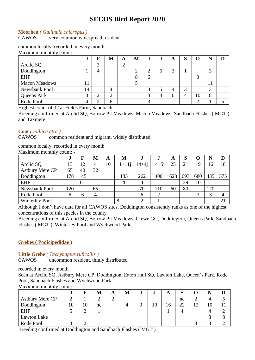#### **Moorhen** *( Gallinula chloropus )*

CAWOS very common widespread resident

#### common locally, recorded in every month

Maximum monthly count: -

|                      | u              | F      | M                  | A      | M           | J      | ٠J | A            | IJ |        |        |  |
|----------------------|----------------|--------|--------------------|--------|-------------|--------|----|--------------|----|--------|--------|--|
| Arclid SQ            |                | ⌒<br>J |                    | ⌒<br>∼ |             |        |    |              |    |        |        |  |
| Doddington           |                | 4      |                    |        | $\sim$<br>∠ | ⌒      |    | $\sim$       |    |        | ⌒      |  |
| <b>EHF</b>           |                |        |                    |        | $\circ$     | 6      |    |              |    | ⌒<br>C |        |  |
| <b>Macon Meadows</b> | 11             |        |                    |        | ◡           |        |    |              |    |        | 11     |  |
| Newsbank Pool        | 14             |        | 4                  |        |             | ⌒<br>ر | J  |              |    |        | ⌒<br>ر |  |
| Queens Park          | ⌒<br>Ć         | ⌒<br>∠ | $\rightarrow$<br>↩ |        |             | ⌒<br>C | 4  | <sub>6</sub> |    | 10     | 8      |  |
| Rode Pool            | $\overline{4}$ | ◠      | b                  |        |             | ⌒<br>ت |    |              |    | ⌒      |        |  |

Highest count of 32 at Fields Farm, Sandbach

Breeding confirmed at Arclid SQ, Borrow Pit Meadows, Macon Meadows, Sandbach Flashes ( MGT ) and Taxmere

#### **Coot** *( Fullica atra )*

CAWOS common resident and migrant, widely distributed

common locally, recorded in every month

Maximum monthly count: -

|                        | J   | F   | М  | A  | М        | J         | J         | A   | O   | Ω   | N   |     |
|------------------------|-----|-----|----|----|----------|-----------|-----------|-----|-----|-----|-----|-----|
| Arclid SQ              | 13  | 12  |    | 10 | $11+11i$ | $14 + 4i$ | $14 + 5i$ | 25  |     | 19  | 16  | 18  |
| <b>Astbury Mere CP</b> | 65  | 40  | 32 |    |          |           |           |     |     |     |     |     |
| Doddington             | 178 | 145 |    |    | 133      | 262       | 400       | 628 | 693 | 680 | 435 | 375 |
| <b>EHF</b>             |     | 61  |    |    | 20       | 4         |           |     | 39  | 10  |     |     |
| Newsbank Pool          | 120 |     | 65 |    |          | 70        | 110       | 60  | 80  |     | 120 |     |
| Rode Pool              | 6   | 6   | 4  |    |          | 6         | ◠         |     |     | 3   | 3   |     |
| <b>Winterley Pool</b>  |     |     |    |    |          |           |           |     |     |     |     | 21  |

Although I don't have data for all CAWOS sites, Doddington consistently ranks as one of the highest concentrations of this species in the county

Breeding confirmed at Arclid SQ, Borrow Pit Meadows, Crewe GC, Doddington, Queens Park, Sandbach Flashes ( MGT ), Winterley Pool and Wychwood Park

#### **Grebes ( Podicipedidae )**

**Little Grebe** *( Tachybaptus ruficollis )*

CAWOS uncommon resident, thinly distributed

recorded in every month

Seen at Arclid SQ, Astbury Mere CP, Doddington, Eaton Hall SQ, Lawton Lake, Queen's Park, Rode Pool, Sandbach Flashes and Wychwood Park

Maximum monthly count: -

|                        | .J |    | М  | л | M | w | w  | A  | $\sim$<br>IJ |                | NT |  |
|------------------------|----|----|----|---|---|---|----|----|--------------|----------------|----|--|
| <b>Astbury Mere CP</b> | ⌒  |    |    |   |   |   |    |    | nc           |                |    |  |
| Doddington             | 10 | 10 | nc |   |   |   | 10 | 16 | 22           | 1 <sub>0</sub> | 10 |  |
| <b>EHF</b>             | ັ  |    |    |   |   |   |    |    |              |                |    |  |
| Lawton Lake            |    |    |    |   |   |   |    |    |              |                |    |  |
| Rode Pool              |    |    |    |   |   |   |    |    |              |                |    |  |

Breeding confirmed at Doddington and Sandbach Flashes ( MGT )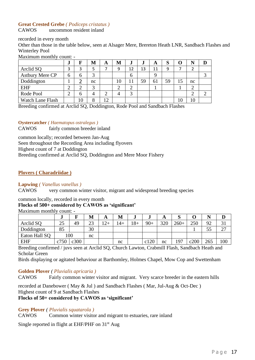#### **Great Crested Grebe** *( Podiceps cristatus )*

CAWOS uncommon resident inland

recorded in every month

Other than those in the table below, seen at Alsager Mere, Brereton Heath LNR, Sandbach Flashes and Winterley Pool

Maximum monthly count: -

|                        | u      | F  | M  | A  | M  | J      | J  | A  | S  |    |    |   |
|------------------------|--------|----|----|----|----|--------|----|----|----|----|----|---|
| Arclid SQ              | 3      | 3  |    |    | 9  | 12     | 13 | 11 | 9  |    |    |   |
| <b>Astbury Mere CP</b> | h      | h  | ⌒  |    |    | 6      |    | റ  |    |    |    | っ |
| Doddington             |        |    | nc |    | 10 |        | 59 | 61 | 59 | 15 | nc |   |
| <b>EHF</b>             | ⌒<br>↩ |    | ⌒  |    | ⌒  | ⌒<br>∠ |    |    |    |    | ⌒  |   |
| Rode Pool              | ◠      | 6  |    |    |    | 3      |    |    |    |    | ◠  | ⌒ |
| Watch Lane Flash       |        | 10 | O  | 12 |    |        |    |    |    |    | 10 |   |

Breeding confirmed at Arclid SQ, Doddington, Rode Pool and Sandbach Flashes

**Oystercatcher** *( Haematopus ostralegus )*

CAWOS fairly common breeder inland

common locally; recorded between Jan-Aug

Seen throughout the Recording Area including flyovers

Highest count of 7 at Doddington

Breeding confirmed at Arclid SQ, Doddington and Mere Moor Fishery

#### **Plovers ( Charadriidae )**

#### **Lapwing** *( Vanellus vanellus )*

CAWOS very common winter visitor, migrant and widespread breeding species

#### common locally, recorded in every month

#### **Flocks of 500+ considered by CAWOS as 'significant'**

Maximum monthly count: -

|               | w    |      | М  | A     | M     | IJ    |       | A   | ມ      |      |          |                      |
|---------------|------|------|----|-------|-------|-------|-------|-----|--------|------|----------|----------------------|
| Arclid SO     | 25   | 49   | 23 | $12+$ | $14+$ | $18+$ | $90+$ | 320 | $260+$ | 250  | $\Omega$ | JІ                   |
| Doddington    | 85   |      | 30 |       |       |       |       |     |        |      | ر. ر     | $\mathcal{L}$<br>ا ت |
| Eaton Hall SQ |      | 100  | nc |       |       |       |       |     |        |      |          |                      |
| <b>EHF</b>    | c750 | c300 |    |       | nc    |       | c120  | nc  | 197    | c200 | 265      | 100                  |

Breeding confirmed / juvs seen at Arclid SQ, Church Lawton, Crabmill Flash, Sandbach Heath and Scholar Green

Birds displaying or agitated behaviour at Barthomley, Holmes Chapel, Mow Cop and Swettenham

#### **Golden Plover** *( Pluvialis apricaria )*

CAWOS Fairly common winter visitor and migrant. Very scarce breeder in the eastern hills

recorded at Danebower ( May & Jul ) and Sandbach Flashes ( Mar, Jul-Aug & Oct-Dec ) Highest count of 9 at Sandbach Flashes

#### **Flocks of 50+ considered by CAWOS as 'significant'**

#### **Grey Plover** *( Pluvialis squatarola )*

CAWOS Common winter visitor and migrant to estuaries, rare inland

Single reported in flight at EHF/PHF on  $31<sup>st</sup>$  Aug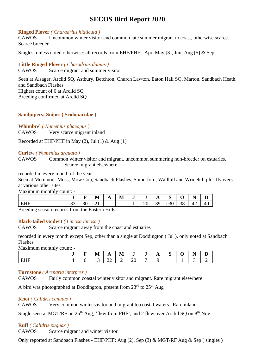#### **Ringed Plover** *( Charadrius hiaticula )*

CAWOS Uncommon winter visitor and common late summer migrant to coast, otherwise scarce. Scarce breeder

Singles, unless noted otherwise: all records from EHF/PHF - Apr, May [3], Jun, Aug [5] & Sep

#### **Little Ringed Plover** *( Charadrius dubius )*

CAWOS Scarce migrant and summer visitor

Seen at Alsager, Arclid SQ, Astbury, Betchton, Church Lawton, Eaton Hall SQ, Marton, Sandbach Heath, and Sandbach Flashes Highest count of 6 at Arclid SQ Breeding confirmed at Arclid SQ

#### **Sandpipers; Snipes ( Scolopacidae )**

**Whimbrel** *( Numenius phaeopus )* CAWOS Very scarce migrant inland

Recorded at EHF/PHF in May  $(2)$ , Jul  $(1)$  & Aug  $(1)$ 

#### **Curlew** *( Numenius arquata )*

CAWOS Common winter visitor and migrant, uncommon summering non-breeder on estuaries. Scarce migrant elsewhere

recorded in every month of the year

Seen at Meremoor Moss, Mow Cop, Sandbach Flashes, Somerford, Wallhill and Wrinehill plus flyovers at various other sites

Maximum monthly count: -

|                    | -             | –                        | M        | A          | M | $\overline{\phantom{a}}$<br>-J | w                  | A  | $\sim$<br>IJ |    | $\overline{\phantom{a}}$<br>N<br>. . |    |
|--------------------|---------------|--------------------------|----------|------------|---|--------------------------------|--------------------|----|--------------|----|--------------------------------------|----|
| EHF                | $\cap$<br>ີ   | 30                       | $\sim$ 1 |            |   |                                | $20^{\circ}$<br>∠∪ | 39 | c30          | 38 | 42                                   | 40 |
| $\sim$<br>$\cdots$ | $\sim$ $\sim$ | $\overline{\phantom{a}}$ |          | __________ |   |                                |                    |    |              |    |                                      |    |

Breeding season records from the Eastern Hills

#### **Black-tailed Godwit** *( Limosa limosa )*

CAWOS Scarce migrant away from the coast and estuaries

recorded in every month except Sep, other than a single at Doddington ( Jul ), only noted at Sandbach Flashes

Maximum monthly count: -

|   | $\overline{\phantom{a}}$ | -<br>- | . .<br>M | A  | M | -<br>J  | J | A | $\sim$<br>ັ | . . | - -<br>N<br><b>.</b> |   |
|---|--------------------------|--------|----------|----|---|---------|---|---|-------------|-----|----------------------|---|
| . |                          |        | ⊥ີ       | سى | - | ┓.<br>້ | - |   |             |     |                      | ∼ |

#### **Turnstone** *( Arenaria interpres )*

CAWOS Fairly common coastal winter visitor and migrant. Rare migrant elsewhere

A bird was photographed at Doddington, present from  $23^{\text{rd}}$  to  $25^{\text{th}}$  Aug

#### **Knot** *( Calidris canutus )*

CAWOS Very common winter visitor and migrant to coastal waters. Rare inland

Single seen at MGT/RF on  $25<sup>th</sup>$  Aug, 'flew from PHF', and 2 flew over Arclid SQ on  $8<sup>th</sup>$  Nov

#### **Ruff** *( Calidris pugnax )*

CAWOS Scarce migrant and winter visitor

Only reported at Sandbach Flashes - EHF/PHF: Aug (2), Sep (3) & MGT/RF Aug & Sep ( singles )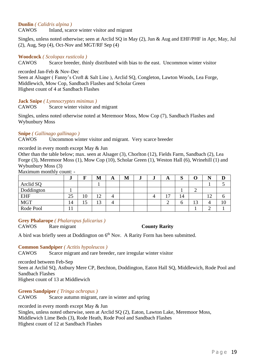#### **Dunlin** *( Calidris alpina )*

CAWOS Inland, scarce winter visitor and migrant

Singles, unless noted otherwise; seen at Arclid SQ in May (2), Jun & Aug and EHF/PHF in Apr, May, Jul (2), Aug, Sep (4), Oct-Nov and MGT/RF Sep (4)

#### **Woodcock** *( Scolopax rusticola )*

CAWOS Scarce breeder, thinly distributed with bias to the east. Uncommon winter visitor

recorded Jan-Feb & Nov-Dec

Seen at Alsager (Fanny's Croft & Salt Line), Arclid SO, Congleton, Lawton Woods, Lea Forge, Middlewich, Mow Cop, Sandbach Flashes and Scholar Green Highest count of 4 at Sandbach Flashes

**Jack Snipe** *( Lymnocryptes minimus )*

CAWOS Scarce winter visitor and migrant

Singles, unless noted otherwise noted at Meremoor Moss, Mow Cop (7), Sandbach Flashes and Wybunbury Moss

#### **Snipe** *( Gallinago gallinago )*

CAWOS Uncommon winter visitor and migrant. Very scarce breeder

#### recorded in every month except May & Jun

Other than the table below; max. seen at Alsager (3), Chorlton (12), Fields Farm, Sandbach (2), Lea Forge (3), Meremoor Moss (1), Mow Cop (10), Scholar Green (1), Weston Hall (6), Wrinehill (1) and Wybunbury Moss (3)

Maximum monthly count: -

|            | w  | ┳   | M         | A | M | IJ | w | A | C<br>IJ |          |               |  |
|------------|----|-----|-----------|---|---|----|---|---|---------|----------|---------------|--|
| Arclid SQ  |    |     |           |   |   |    |   |   |         |          |               |  |
| Doddington |    |     |           |   |   |    |   |   |         | ↩        |               |  |
| <b>EHF</b> | 25 | 10  | 12<br>⊥ ∠ |   |   |    |   | - | 14      |          | 1 $\cap$<br>┸ |  |
| <b>MGT</b> | 14 | 1 J | 13        |   |   |    |   |   | υ       | 12<br>12 |               |  |
| Rode Pool  |    |     |           |   |   |    |   |   |         |          |               |  |

**Grey Phalarope** *( Phalaropus fulicarius )*

CAWOS Rare migrant **County Rarity**

A bird was briefly seen at Doddington on  $6<sup>th</sup>$  Nov. A Rarity Form has been submitted.

#### **Common Sandpiper** *( Actitis hypoleucos )*

CAWOS Scarce migrant and rare breeder, rare irregular winter visitor

recorded between Feb-Sep Seen at Arclid SQ, Astbury Mere CP, Betchton, Doddington, Eaton Hall SQ, Middlewich, Rode Pool and Sandbach Flashes Highest count of 13 at Middlewich

**Green Sandpiper** *( Tringa ochropus )*

CAWOS Scarce autumn migrant, rare in winter and spring

recorded in every month except May & Jun

Singles, unless noted otherwise, seen at Arclid SQ (2), Eaton, Lawton Lake, Meremoor Moss, Middlewich Lime Beds (3), Rode Heath, Rode Pool and Sandbach Flashes Highest count of 12 at Sandbach Flashes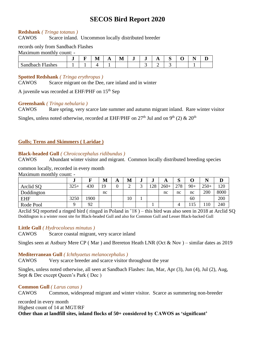#### **Redshank** *( Tringa totanus )*

CAWOS Scarce inland. Uncommon locally distributed breeder

#### records only from Sandbach Flashes

Maximum monthly count: -

|                                                             |  | $\blacksquare$<br>M | $\Gamma$ | $\mathbf{r}$<br>M | J | <b>A</b> | -<br>ັ | . .<br>- |  |
|-------------------------------------------------------------|--|---------------------|----------|-------------------|---|----------|--------|----------|--|
| Sandbach<br>$\blacksquare$<br>Tashes<br>. .<br>$\mathbf{r}$ |  |                     |          |                   |   |          |        |          |  |

#### **Spotted Redshank** *( Tringa erythropus )*

CAWOS Scarce migrant on the Dee, rare inland and in winter

A juvenile was recorded at EHF/PHF on 15th Sep

#### **Greenshank** *( Tringa nebularia )*

CAWOS Rare spring, very scarce late summer and autumn migrant inland. Rare winter visitor

Singles, unless noted otherwise, recorded at EHF/PHF on 27<sup>th</sup> Jul and on 9<sup>th</sup> (2) & 20<sup>th</sup>

#### **Gulls; Terns and Skimmers ( Laridae )**

#### **Black-headed Gull** *( Chroicocephalus ridibundus )*

CAWOS Abundant winter visitor and migrant. Common locally distributed breeding species

#### common locally, recorded in every month

Maximum monthly count: -

|            | e.     |      | М  | A | М  | J | w   | A      | IJ  |       | N      | D    |
|------------|--------|------|----|---|----|---|-----|--------|-----|-------|--------|------|
| Arclid SO  | $325+$ | 430  | 19 | ∩ |    |   | 128 | $260+$ | 278 | $90+$ | $250+$ | 120  |
| Doddington |        |      | nc |   |    |   |     | nc     | nc  | nc    | 200    | 8000 |
| <b>EHF</b> | 3250   | .900 |    |   | 10 |   |     |        |     | 60    |        | 200  |
| Rode Pool  | $\sim$ | 92   |    |   |    |   |     |        | 4   | 15    | 110    | 240  |

Arclid SQ reported a ringed bird ( ringed in Poland in '18 ) – this bird was also seen in 2018 at Arclid SQ Doddington is a winter roost site for Black-headed Gull and also for Common Gull and Lesser Black-backed Gull

#### **Little Gull** *( Hydrocoloeus minutus )*

CAWOS Scarce coastal migrant, very scarce inland

Singles seen at Astbury Mere CP ( Mar ) and Brereton Heath LNR (Oct & Nov ) – similar dates as 2019

#### **Mediterranean Gull** *( Ichthyaetus melanocephalus )*

CAWOS Very scarce breeder and scarce visitor throughout the year

Singles, unless noted otherwise, all seen at Sandbach Flashes: Jan, Mar, Apr (3), Jun (4), Jul (2), Aug, Sept & Dec except Queen's Park ( Dec )

#### **Common Gull** *( Larus canus )*

CAWOS Common, widespread migrant and winter visitor. Scarce as summering non-breeder

recorded in every month Highest count of 14 at MGT/RF **Other than at landfill sites, inland flocks of 50+ considered by CAWOS as 'significant'**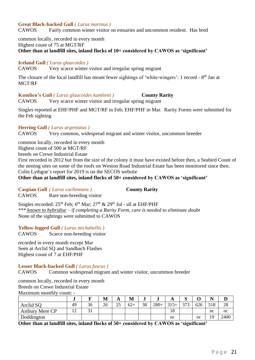#### **Great Black-backed Gull** *( Larus marinus )*

CAWOS Fairly common winter visitor on estuaries and uncommon resident. Has bred

common locally, recorded in every month

Highest count of 75 at MGT/RF

**Other than at landfill sites, inland flocks of 10+ considered by CAWOS as 'significant'**

**Iceland Gull** *( Larus glaucoides )*

CAWOS Very scarce winter visitor and irregular spring migrant

The closure of the local landfill has meant fewer sightings of 'white-wingers': 1 record - 8<sup>th</sup> Jan at MGT/RF

**Kumlien's Gull** *( Larus glaucoides kumlieni )* **County Rarity** CAWOS Very scarce winter visitor and irregular spring migrant

Singles reported at EHF/PHF and MGT/RF in Feb; EHF/PHF in Mar. Rarity Forms were submitted for the Feb sighting

#### **Herring Gull** *( Larus argentatus )*

CAWOS Very common, widespread migrant and winter visitor, uncommon breeder

common locally, recorded in every month Highest count of 500 at MGT/RF

breeds on Crewe Industrial Estate

First recorded in 2012 but from the size of the colony it must have existed before then, a Seabird Count of the nesting sites on some of the roofs on Weston Road Industrial Estate has been monitored since then. Colin Lythgoe's report for 2019 is on the SECOS website

**Other than at landfill sites, inland flocks of 50+ considered by CAWOS as 'significant'**

**Caspian Gull** *( Larus cachinnans )* **County Rarity**

CAWOS Rare non-breeding visitor

Singles recorded:  $25<sup>th</sup>$  Feb;  $6<sup>th</sup>$  Mar;  $27<sup>th</sup>$  &  $29<sup>th</sup>$  Jul - all at EHF/PHF *\*\*\* known to hybridise – if completing a Rarity Form, care is needed to eliminate doubt* None of the sightings were submitted to CAWOS

**Yellow-legged Gull** *( Larus michahellis )*

CAWOS Scarce non-breeding visitor

recorded in every month except Mar Seen at Arclid SQ and Sandbach Flashes Highest count of 7 at EHF/PHF

#### **Lesser Black-backed Gull** *( Larus fuscus )*

CAWOS Common widespread migrant and winter visitor, uncommon breeder

common locally, recorded in every month

Breeds on Crewe Industrial Estate

Maximum monthly count: -

|                        | IJ          |    | M  | A             | M     | J  | w      | A      | $\sim$<br>៶ |     | N   | ┻    |
|------------------------|-------------|----|----|---------------|-------|----|--------|--------|-------------|-----|-----|------|
| Arclid SQ              | 49          | 36 | 26 | $\gamma$<br>ت | $62+$ | 38 | $280+$ | $315+$ | 373         | 626 | 518 | 28   |
| <b>Astbury Mere CP</b> | $\sim$<br>∸ | ◡  |    |               |       |    |        | 18     |             |     | nc  | nc   |
| Doddington             |             |    |    |               |       |    |        | nc     |             | nc  | 10  | 2400 |

**Other than at landfill sites, inland flocks of 50+ considered by CAWOS as 'significant'**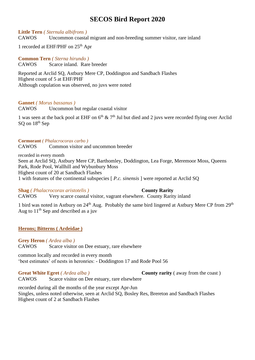#### **Little Tern** *( Sternula albifrons )*

CAWOS Uncommon coastal migrant and non-breeding summer visitor, rare inland

1 recorded at EHF/PHF on 25 th Apr

**Common Tern** *( Sterna hirundo )* CAWOS Scarce inland. Rare breeder

Reported at Arclid SQ, Astbury Mere CP, Doddington and Sandbach Flashes Highest count of 5 at EHF/PHF Although copulation was observed, no juvs were noted

#### **Gannet** *( Morus bassanus )*

CAWOS Uncommon but regular coastal visitor

1 was seen at the back pool at EHF on  $6<sup>th</sup>$  & 7<sup>th</sup> Jul but died and 2 juvs were recorded flying over Arclid SO on 18<sup>th</sup> Sep

#### **Cormorant** *( Phalacrocorax carbo )*

CAWOS Common visitor and uncommon breeder

recorded in every month Seen at Arclid SQ, Astbury Mere CP, Barthomley, Doddington, Lea Forge, Meremoor Moss, Queens Park, Rode Pool, Wallhill and Wybunbury Moss Highest count of 20 at Sandbach Flashes 1 with features of the continental subspecies [ *P.c. sinensis* ] were reported at Arclid SQ

#### **Shag** *(Phalacrocorax aristotelis )* **County Rarity**

CAWOS Very scarce coastal visitor, vagrant elsewhere. County Rarity inland

1 bird was noted in Astbury on 24<sup>th</sup> Aug. Probably the same bird lingered at Astbury Mere CP from 29<sup>th</sup> Aug to  $11<sup>th</sup>$  Sep and described as a juv

### **Herons; Bitterns ( Ardeidae )**

**Grey Heron** *( Ardea alba )*

CAWOS Scarce visitor on Dee estuary, rare elsewhere

common locally and recorded in every month 'best estimates' of nests in heronries: - Doddington 17 and Rode Pool 56

**Great White Egret** *(Ardea alba)* **County rarity** (away from the coast) CAWOS Scarce visitor on Dee estuary, rare elsewhere

recorded during all the months of the year except Apr-Jun Singles, unless noted otherwise, seen at Arclid SQ, Bosley Res, Brereton and Sandbach Flashes Highest count of 2 at Sandbach Flashes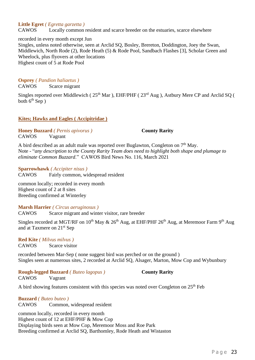#### **Little Egret** *( Egretta garzetta )*

CAWOS Locally common resident and scarce breeder on the estuaries, scarce elsewhere

recorded in every month except Jun Singles, unless noted otherwise, seen at Arclid SQ, Bosley, Brereton, Doddington, Joey the Swan, Middlewich, North Rode (2), Rode Heath (5) & Rode Pool, Sandbach Flashes [3], Scholar Green and Wheelock, plus flyovers at other locations Highest count of 5 at Rode Pool

**Osprey** *( Pandion haliaetus )*

CAWOS Scarce migrant

Singles reported over Middlewich (25<sup>th</sup> Mar), EHF/PHF (23<sup>rd</sup> Aug), Astbury Mere CP and Arclid SQ ( both  $6<sup>th</sup>$  Sep )

#### **Kites; Hawks and Eagles ( Accipitridae )**

**Honey Buzzard** *( Pernis apivorus )* **County Rarity** CAWOS Vagrant

A bird described as an adult male was reported over Buglawton, Congleton on  $7<sup>th</sup>$  May. Note - "*any description to the County Rarity Team does need to highlight both shape and plumage to eliminate Common Buzzard*." CAWOS Bird News No. 116, March 2021

#### **Sparrowhawk** *( Accipiter nisus )*

CAWOS Fairly common, widespread resident

common locally; recorded in every month Highest count of 2 at 8 sites Breeding confirmed at Winterley

#### **Marsh Harrier** *( Circus aeruginosus )*

CAWOS Scarce migrant and winter visitor, rare breeder

Singles recorded at MGT/RF on  $10^{th}$  May &  $26^{th}$  Aug, at EHF/PHF  $26^{th}$  Aug, at Meremoor Farm  $9^{th}$  Aug and at Taxmere on 21st Sep

**Red Kite** *( Milvus milvus )* CAWOS Scarce visitor

recorded between Mar-Sep ( none suggest bird was perched or on the ground ) Singles seen at numerous sites, 2 recorded at Arclid SQ, Alsager, Marton, Mow Cop and Wybunbury

#### **Rough-legged Buzzard** *( Buteo lagopus )* **County Rarity**

CAWOS Vagrant

A bird showing features consistent with this species was noted over Congleton on  $25<sup>th</sup>$  Feb

### **Buzzard** *( Buteo buteo )*

CAWOS Common, widespread resident

common locally, recorded in every month Highest count of 12 at EHF/PHF & Mow Cop Displaying birds seen at Mow Cop, Meremoor Moss and Roe Park Breeding confirmed at Arclid SQ, Barthomley, Rode Heath and Wistaston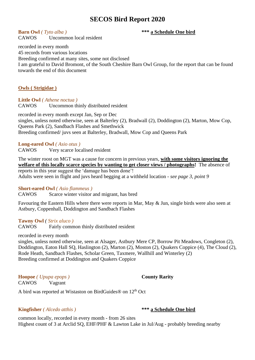**Barn Owl** *( Tyto alba )* **\*\*\* a Schedule One bird** CAWOS Uncommon local resident

recorded in every month 45 records from various locations Breeding confirmed at many sites, some not disclosed I am grateful to David Bromont, of the South Cheshire Barn Owl Group, for the report that can be found towards the end of this document

#### **Owls ( Strigidae )**

**Little Owl** *( Athene noctua )* CAWOS Uncommon thinly distributed resident

recorded in every month except Jan, Sep or Dec singles, unless noted otherwise, seen at Balterley (2), Bradwall (2), Doddington (2), Marton, Mow Cop, Queens Park (2), Sandbach Flashes and Smethwick Breeding confirmed/ juvs seen at Balterley, Bradwall, Mow Cop and Queens Park

#### **Long-eared Owl** *( Asio otus )*

CAWOS Very scarce localised resident

The winter roost on MGT was a cause for concern in previous years, **with some visitors ignoring the welfare of this locally scarce species by wanting to get closer views / photographs!** The absence of reports in this year suggest the 'damage has been done'! Adults were seen in flight and juvs heard begging at a withheld location - *see page 3, point 9*

#### **Short-eared Owl** *( Asio flammeus )*

CAWOS Scarce winter visitor and migrant, has bred

Favouring the Eastern Hills where there were reports in Mar, May & Jun, single birds were also seen at Astbury, Coppenhall, Doddington and Sandbach Flashes

#### **Tawny Owl** *( Strix aluco )*

CAWOS Fairly common thinly distributed resident

recorded in every month

singles, unless noted otherwise, seen at Alsager, Astbury Mere CP, Borrow Pit Meadows, Congleton (2), Doddington, Eaton Hall SQ, Haslington (2), Marton (2), Moston (2), Quakers Coppice (4), The Cloud (2), Rode Heath, Sandbach Flashes, Scholar Green, Taxmere, Wallhill and Winterley (2) Breeding confirmed at Doddington and Quakers Coppice

**Hoopoe** *( Upupa epops )* **County Rarity** CAWOS Vagrant

A bird was reported at Wistaston on BirdGuides® on 12th Oct

#### **Kingfisher** *( Alcedo atthis )* **\*\*\* a Schedule One bird**

common locally, recorded in every month - from 26 sites Highest count of 3 at Arclid SQ, EHF/PHF & Lawton Lake in Jul/Aug - probably breeding nearby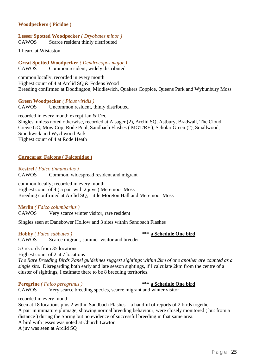#### **Woodpeckers ( Picidae )**

#### **Lesser Spotted Woodpecker** *( Dryobates minor )* CAWOS Scarce resident thinly distributed

1 heard at Wistaston

**Great Spotted Woodpecker** *( Dendrocopos major )* CAWOS Common resident, widely distributed

common locally, recorded in every month Highest count of 4 at Arclid SQ & Fodens Wood Breeding confirmed at Doddington, Middlewich, Quakers Coppice, Queens Park and Wybunbury Moss

#### **Green Woodpecker** *( Picus viridis )*

CAWOS Uncommon resident, thinly distributed

recorded in every month except Jan & Dec Singles, unless noted otherwise, recorded at Alsager (2), Arclid SQ, Astbury, Bradwall, The Cloud, Crewe GC, Mow Cop, Rode Pool, Sandbach Flashes ( MGT/RF ), Scholar Green (2), Smallwood, Smethwick and Wychwood Park Highest count of 4 at Rode Heath

#### **Caracaras; Falcons ( Falconidae )**

**Kestrel** *( Falco tinnunculus )* CAWOS Common, widespread resident and migrant

common locally; recorded in every month Highest count of 4 ( a pair with 2 juvs ) Meremoor Moss Breeding confirmed at Arclid SQ, Little Moreton Hall and Meremoor Moss

#### **Merlin** *( Falco columbarius )*

CAWOS Very scarce winter visitor, rare resident

Singles seen at Danebower Hollow and 3 sites within Sandbach Flashes

**Hobby** *( Falco subbuteo )* **\*\*\* a Schedule One bird** CAWOS Scarce migrant, summer visitor and breeder

53 records from 35 locations

Highest count of 2 at 7 locations

*The Rare Breeding Birds Panel guidelines suggest sightings within 2km of one another are counted as a single site.* Disregarding both early and late season sightings, if I calculate 2km from the centre of a cluster of sightings, I estimate there to be 8 breeding territories.

#### **Peregrine** *( Falco peregrinus )* **\*\*\* a Schedule One bird**

CAWOS Very scarce breeding species, scarce migrant and winter visitor

recorded in every month

Seen at 18 locations plus 2 within Sandbach Flashes – a handful of reports of 2 birds together A pair in immature plumage, showing normal breeding behaviour, were closely monitored ( but from a distance ) during the Spring but no evidence of successful breeding in that same area.

A bird with jesses was noted at Church Lawton

A juv was seen at Arclid SQ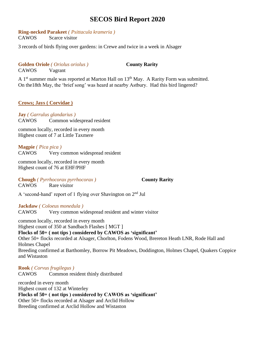#### **Ring-necked Parakeet** *( Psittacula krameria )*

CAWOS Scarce visitor

3 records of birds flying over gardens: in Crewe and twice in a week in Alsager

#### **Golden Oriole** *( Oriolus oriolus )* **County Rarity** CAWOS Vagrant

A  $1<sup>st</sup>$  summer male was reported at Marton Hall on  $13<sup>th</sup>$  May. A Rarity Form was submitted. On the18th May, the 'brief song' was heard at nearby Astbury. Had this bird lingered?

#### **Crows; Jays ( Corvidae )**

**Jay** *( Garrulus glandarius )* CAWOS Common widespread resident

common locally, recorded in every month Highest count of 7 at Little Taxmere

**Magpie** *( Pica pica )* Very common widespread resident

common locally, recorded in every month Highest count of 76 at EHF/PHF

**Chough** *( Pyrrhocorax pyrrhocorax )* **County Rarity** CAWOS Rare visitor

A 'second-hand' report of 1 flying over Shavington on 2nd Jul

**Jackdaw** *( Coloeus monedula )*

CAWOS Very common widespread resident and winter visitor

common locally, recorded in every month Highest count of 350 at Sandbach Flashes [ MGT ] **Flocks of 50+ ( not tips ) considered by CAWOS as 'significant'** Other 50+ flocks recorded at Alsager, Chorlton, Fodens Wood, Brereton Heath LNR, Rode Hall and Holmes Chapel Breeding confirmed at Barthomley, Borrow Pit Meadows, Doddington, Holmes Chapel, Quakers Coppice and Wistaston

**Rook** *( Corvus frugilegus )* CAWOS Common resident thinly distributed

recorded in every month Highest count of 132 at Winterley **Flocks of 50+ ( not tips ) considered by CAWOS as 'significant'** Other 50+ flocks recorded at Alsager and Arclid Hollow Breeding confirmed at Arclid Hollow and Wistaston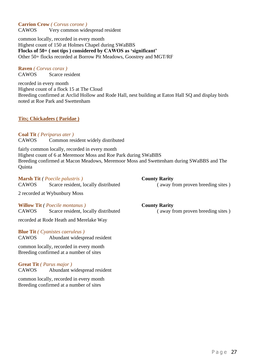### **Carrion Crow** *( Corvus corone )*

CAWOS Very common widespread resident

common locally, recorded in every month Highest count of 150 at Holmes Chapel during SWaBBS **Flocks of 50+ ( not tips ) considered by CAWOS as 'significant'** Other 50+ flocks recorded at Borrow Pit Meadows, Goostrey and MGT/RF

# **Raven** *( Corvus corax )*

CAWOS Scarce resident

recorded in every month Highest count of a flock 15 at The Cloud Breeding confirmed at Arclid Hollow and Rode Hall, nest building at Eaton Hall SQ and display birds noted at Roe Park and Swettenham

#### **Tits; Chickadees ( Paridae )**

**Coal Tit** *( Periparus ater )* CAWOS Common resident widely distributed

fairly common locally, recorded in every month Highest count of 6 at Meremoor Moss and Roe Park during SWaBBS Breeding confirmed at Macon Meadows, Meremoor Moss and Swettenham during SWaBBS and The **Ouinta** 

**Marsh Tit** *( Poecile palustris )* **County Rarity** CAWOS Scarce resident, locally distributed ( away from proven breeding sites )

2 recorded at Wybunbury Moss

**Willow Tit** *( Poecile montanus )* **County Rarity** CAWOS Scarce resident, locally distributed ( away from proven breeding sites )

recorded at Rode Heath and Merelake Way

**Blue Tit** *( Cyanistes caeruleus )* CAWOS Abundant widespread resident

common locally, recorded in every month Breeding confirmed at a number of sites

#### **Great Tit** *( Parus major )*

CAWOS Abundant widespread resident

common locally, recorded in every month Breeding confirmed at a number of sites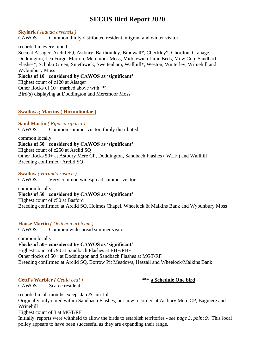**Skylark** *( Alauda arvensis )* CAWOS Common thinly distributed resident, migrant and winter visitor

recorded in every month Seen at Alsager, Arclid SQ, Astbury, Barthomley, Bradwall\*, Checkley\*, Chorlton, Cranage, Doddington, Lea Forge, Marton, Meremoor Moss, Middlewich Lime Beds, Mow Cop, Sandbach Flashes\*, Scholar Green, Smethwick, Swettenham, Wallhill\*, Weston, Winterley, Wrinehill and Wybunbury Moss **Flocks of 10+ considered by CAWOS as 'significant'**

Highest count of c120 at Alsager Other flocks of 10+ marked above with '\*' Bird(s) displaying at Doddington and Meremoor Moss

### **Swallows; Martins ( Hirundinidae )**

**Sand Martin** *( Riparia riparia )* CAWOS Common summer visitor, thinly distributed

common locally **Flocks of 50+ considered by CAWOS as 'significant'** Highest count of c250 at Arclid SQ Other flocks 50+ at Astbury Mere CP, Doddington, Sandbach Flashes ( WLF ) and Wallhill Breeding confirmed: Arclid SQ

**Swallow** *( Hirundo rustica )* CAWOS Very common widespread summer visitor

common locally **Flocks of 50+ considered by CAWOS as 'significant'** Highest count of c50 at Basford Breeding confirmed at Arclid SQ, Holmes Chapel, Wheelock & Malkins Bank and Wybunbury Moss

**House Martin** *( Delichon urbicum )* CAWOS Common widespread summer visitor

common locally **Flocks of 50+ considered by CAWOS as 'significant'** Highest count of c90 at Sandbach Flashes at EHF/PHF Other flocks of 50+ at Doddington and Sandbach Flashes at MGT/RF Breeding confirmed at Arclid SQ, Borrow Pit Meadows, Hassall and Wheelock/Malkins Bank

**Cetti's Warbler** *( Cettia cetti )* **\*\*\* a Schedule One bird**

CAWOS Scarce resident

recorded in all months except Jan & Jun-Jul Originally only noted within Sandbach Flashes, but now recorded at Astbury Mere CP, Bagmere and Wrinehill

Highest count of 3 at MGT/RF

Initially, reports were withheld to allow the birds to establish territories *- see page 3, point 9.* This local policy appears to have been successful as they are expanding their range.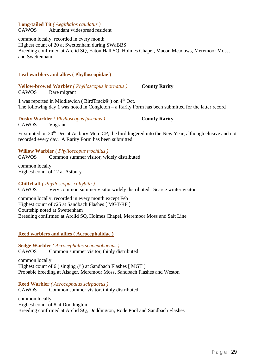# **Long-tailed Tit** *( Aegithalos caudatus )*

CAWOS Abundant widespread resident

common locally, recorded in every month Highest count of 20 at Swettenham during SWaBBS Breeding confirmed at Arclid SQ, Eaton Hall SQ, Holmes Chapel, Macon Meadows, Meremoor Moss, and Swettenham

#### **Leaf warblers and allies ( Phylloscopidae )**

**Yellow-browed Warbler** *( Phylloscopus inornatus )* **County Rarity** CAWOS Rare migrant

1 was reported in Middlewich ( BirdTrack® ) on 4th Oct. The following day 1 was noted in Congleton – a Rarity Form has been submitted for the latter record

**Dusky Warbler** *( Phylloscopus fuscatus )* **County Rarity**

CAWOS Vagrant

First noted on 20<sup>th</sup> Dec at Astbury Mere CP, the bird lingered into the New Year, although elusive and not recorded every day. A Rarity Form has been submitted

**Willow Warbler** *( Phylloscopus trochilus )* CAWOS Common summer visitor, widely distributed

common locally Highest count of 12 at Astbury

**Chiffchaff** *( Phylloscopus collybita )* CAWOS Very common summer visitor widely distributed. Scarce winter visitor

common locally, recorded in every month except Feb Highest count of c25 at Sandbach Flashes [ MGT/RF ] Courtship noted at Swettenham Breeding confirmed at Arclid SQ, Holmes Chapel, Meremoor Moss and Salt Line

#### **Reed warblers and allies ( Acrocephalidae )**

**Sedge Warbler** *( Acrocephalus schoenobaenus )* CAWOS Common summer visitor, thinly distributed

common locally Highest count of 6 ( singing  $\delta$  ) at Sandbach Flashes [MGT ] Probable breeding at Alsager, Meremoor Moss, Sandbach Flashes and Weston

**Reed Warbler** *( Acrocephalus scirpaceus )* CAWOS Common summer visitor, thinly distributed

common locally Highest count of 8 at Doddington Breeding confirmed at Arclid SQ, Doddington, Rode Pool and Sandbach Flashes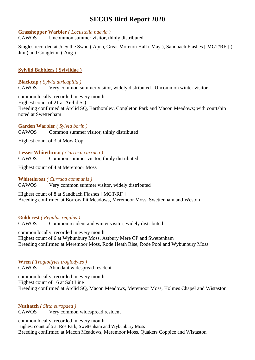#### **Grasshopper Warbler** *( Locustella naevia )*

CAWOS Uncommon summer visitor, thinly distributed

Singles recorded at Joey the Swan ( Apr ), Great Moreton Hall ( May ), Sandbach Flashes [ MGT/RF ] ( Jun ) and Congleton ( Aug )

#### **Sylviid Babblers ( Sylviidae )**

**Blackcap** *( Sylvia atricapilla )* CAWOS Very common summer visitor, widely distributed. Uncommon winter visitor

common locally, recorded in every month Highest count of 21 at Arclid SQ Breeding confirmed at Arclid SQ, Barthomley, Congleton Park and Macon Meadows; with courtship noted at Swettenham

#### **Garden Warbler** *( Sylvia borin )*

CAWOS Common summer visitor, thinly distributed

Highest count of 3 at Mow Cop

#### **Lesser Whitethroat** *( Curruca curruca )*

CAWOS Common summer visitor, thinly distributed

Highest count of 4 at Meremoor Moss

**Whitethroat** *( Curruca communis )*

CAWOS Very common summer visitor, widely distributed

Highest count of 8 at Sandbach Flashes [ MGT/RF ] Breeding confirmed at Borrow Pit Meadows, Meremoor Moss, Swettenham and Weston

**Goldcrest** *( Regulus regulus )*

CAWOS Common resident and winter visitor, widely distributed

common locally, recorded in every month Highest count of 6 at Wybunbury Moss, Astbury Mere CP and Swettenham Breeding confirmed at Meremoor Moss, Rode Heath Rise, Rode Pool and Wybunbury Moss

**Wren** *( Troglodytes troglodytes )* CAWOS Abundant widespread resident

common locally, recorded in every month Highest count of 16 at Salt Line Breeding confirmed at Arclid SQ, Macon Meadows, Meremoor Moss, Holmes Chapel and Wistaston

**Nuthatch** *( Sitta europaea )* CAWOS Very common widespread resident

common locally, recorded in every month Highest count of 5 at Roe Park, Swettenham and Wybunbury Moss Breeding confirmed at Macon Meadows, Meremoor Moss, Quakers Coppice and Wistaston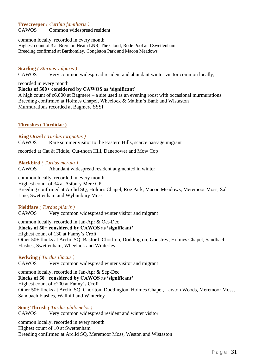#### **Treecreeper** *( Certhia familiaris )*

CAWOS Common widespread resident

common locally, recorded in every month Highest count of 3 at Brereton Heath LNR, The Cloud, Rode Pool and Swettenham Breeding confirmed at Barthomley, Congleton Park and Macon Meadows

#### **Starling** *( Sturnus vulgaris )*

CAWOS Very common widespread resident and abundant winter visitor common locally,

recorded in every month

#### **Flocks of 500+ considered by CAWOS as 'significant'**

A high count of c6,000 at Bagmere – a site used as an evening roost with occasional murmurations Breeding confirmed at Holmes Chapel, Wheelock & Malkin's Bank and Wistaston Murmurations recorded at Bagmere SSSI

#### **Thrushes ( Turdidae )**

#### **Ring Ouzel** *( Turdus torquatus )*

CAWOS Rare summer visitor to the Eastern Hills, scarce passage migrant

recorded at Cat & Fiddle, Cut-thorn Hill, Danebower and Mow Cop

#### **Blackbird** *( Turdus merula )*

CAWOS Abundant widespread resident augmented in winter

common locally, recorded in every month Highest count of 34 at Astbury Mere CP Breeding confirmed at Arclid SQ, Holmes Chapel, Roe Park, Macon Meadows, Meremoor Moss, Salt Line, Swettenham and Wybunbury Moss

#### **Fieldfare** *( Turdus pilaris )*

CAWOS Very common widespread winter visitor and migrant

common locally, recorded in Jan-Apr & Oct-Dec **Flocks of 50+ considered by CAWOS as 'significant'** Highest count of 130 at Fanny's Croft Other 50+ flocks at Arclid SQ, Basford, Chorlton, Doddington, Goostrey, Holmes Chapel, Sandbach Flashes, Swettenham, Wheelock and Winterley

#### **Redwing** *( Turdus iliacus )*

CAWOS Very common widespread winter visitor and migrant

common locally, recorded in Jan-Apr & Sep-Dec **Flocks of 50+ considered by CAWOS as 'significant'** Highest count of c200 at Fanny's Croft Other 50+ flocks at Arclid SQ, Chorlton, Doddington, Holmes Chapel, Lawton Woods, Meremoor Moss, Sandbach Flashes, Wallhill and Winterley

**Song Thrush** *( Turdus philomelos )* CAWOS Very common widespread resident and winter visitor

common locally, recorded in every month Highest count of 10 at Swettenham Breeding confirmed at Arclid SQ, Meremoor Moss, Weston and Wistaston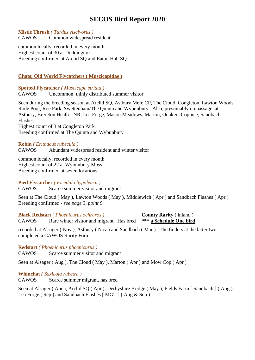#### **Mistle Thrush** *( Turdus viscivorus )*

CAWOS Common widespread resident

common locally, recorded in every month Highest count of 30 at Doddington Breeding confirmed at Arclid SQ and Eaton Hall SQ

### **Chats; Old World Flycatchers ( Muscicapidae )**

### **Spotted Flycatcher** *( Muscicapa striata )*

CAWOS Uncommon, thinly distributed summer visitor

Seen during the breeding season at Arclid SQ, Astbury Mere CP, The Cloud, Congleton, Lawton Woods, Rode Pool, Roe Park, Swettenham/The Quinta and Wybunbury. Also, presumably on passage, at Astbury, Brereton Heath LNR, Lea Forge, Macon Meadows, Marton, Quakers Coppice, Sandbach Flashes Highest count of 3 at Congleton Park Breeding confirmed at The Quinta and Wybunbury

#### **Robin** *( Erithacus rubecula )*

CAWOS Abundant widespread resident and winter visitor

common locally, recorded in every month Highest count of 22 at Wybunbury Moss Breeding confirmed at seven locations

### **Pied Flycatcher** *( Ficedula hypoleuca )*

CAWOS Scarce summer visitor and migrant

Seen at The Cloud ( May ), Lawton Woods ( May ), Middlewich ( Apr ) and Sandbach Flashes ( Apr ) Breeding confirmed *- see page 3, point 9*

**Black Redstart** *( Phoenicurus ochruros )* **County Rarity** ( inland ) CAWOS Rare winter visitor and migrant. Has bred **\*\*\* a Schedule One bird**

recorded at Alsager ( Nov ), Astbury ( Nov ) and Sandbach ( Mar ). The finders at the latter two completed a CAWOS Rarity Form

**Redstart** *( Phoenicurus phoenicurus )*

CAWOS Scarce summer visitor and migrant

Seen at Alsager ( Aug ), The Cloud ( May ), Marton ( Apr ) and Mow Cop ( Apr )

**Whinchat** *( Saxicola rubetra )*

CAWOS Scarce summer migrant, has bred

Seen at Alsager (Apr), Arclid SQ (Apr), Derbyshire Bridge (May), Fields Farm [Sandbach ] (Aug), Lea Forge ( Sep ) and Sandbach Flashes [ MGT ] ( Aug & Sep )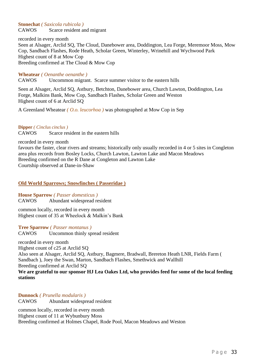#### **Stonechat** *( Saxicola rubicola )*

CAWOS Scarce resident and migrant

recorded in every month Seen at Alsager, Arclid SQ, The Cloud, Danebower area, Doddington, Lea Forge, Meremoor Moss, Mow Cop, Sandbach Flashes, Rode Heath, Scholar Green, Winterley, Wrinehill and Wychwood Park Highest count of 8 at Mow Cop Breeding confirmed at The Cloud & Mow Cop

#### **Wheatear** *( Oenanthe oenanthe )*

CAWOS Uncommon migrant. Scarce summer visitor to the eastern hills

Seen at Alsager, Arclid SQ, Astbury, Betchton, Danebower area, Church Lawton, Doddington, Lea Forge, Malkins Bank, Mow Cop, Sandbach Flashes, Scholar Green and Weston Highest count of 6 at Arclid SQ

A Greenland Wheatear *( O.o. leucorhoa )* was photographed at Mow Cop in Sep

#### **Dipper** *( Cinclus cinclus )*

CAWOS Scarce resident in the eastern hills

recorded in every month

favours the faster, clear rivers and streams; historically only usually recorded in 4 or 5 sites in Congleton area plus records from Bosley Locks, Church Lawton, Lawton Lake and Macon Meadows Breeding confirmed on the R Dane at Congleton and Lawton Lake Courtship observed at Dane-in-Shaw

#### **Old World Sparrows; Snowfinches ( Passeridae )**

#### **House Sparrow** *( Passer domesticus )*

CAWOS Abundant widespread resident

common locally, recorded in every month Highest count of 35 at Wheelock & Malkin's Bank

# **Tree Sparrow** *( Passer montanus )*

CAWOS Uncommon thinly spread resident

recorded in every month

Highest count of c25 at Arclid SQ

Also seen at Alsager, Arclid SQ, Astbury, Bagmere, Bradwall, Brereton Heath LNR, Fields Farm ( Sandbach ), Joey the Swan, Marton, Sandbach Flashes, Smethwick and Wallhill Breeding confirmed at Arclid SQ

**We are grateful to our sponsor HJ Lea Oakes Ltd, who provides feed for some of the local feeding stations**

#### **Dunnock** *( Prunella modularis )*

CAWOS Abundant widespread resident

common locally, recorded in every month Highest count of 11 at Wybunbury Moss Breeding confirmed at Holmes Chapel, Rode Pool, Macon Meadows and Weston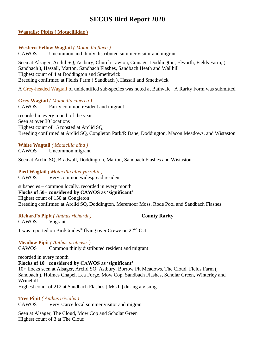#### **Wagtails; Pipits ( Motacillidae )**

#### **Western Yellow Wagtail** *( Motacilla flava )*

CAWOS Uncommon and thinly distributed summer visitor and migrant

Seen at Alsager, Arclid SQ, Astbury, Church Lawton, Cranage, Doddington, Elworth, Fields Farm, ( Sandbach ), Hassall, Marton, Sandbach Flashes, Sandbach Heath and Wallhill Highest count of 4 at Doddington and Smethwick Breeding confirmed at Fields Farm ( Sandbach ), Hassall and Smethwick

A Grey-headed Wagtail of unidentified sub-species was noted at Bathvale. A Rarity Form was submitted

**Grey Wagtail** *( Motacilla cinerea )* CAWOS Fairly common resident and migrant

recorded in every month of the year Seen at over 30 locations Highest count of 15 roosted at Arclid SQ Breeding confirmed at Arclid SQ, Congleton Park/R Dane, Doddington, Macon Meadows, and Wistaston

### **White Wagtail** *( Motacilla alba )*

CAWOS Uncommon migrant

Seen at Arclid SQ, Bradwall, Doddington, Marton, Sandbach Flashes and Wistaston

**Pied Wagtail** *( Motacilla alba yarrellii )* CAWOS Very common widespread resident

subspecies – common locally, recorded in every month **Flocks of 50+ considered by CAWOS as 'significant'** Highest count of 150 at Congleton Breeding confirmed at Arclid SQ, Doddington, Meremoor Moss, Rode Pool and Sandbach Flashes

**Richard's Pipit** *( Anthus richardi )* **County Rarity** CAWOS Vagrant

1 was reported on BirdGuides® flying over Crewe on 22nd Oct

**Meadow Pipit** *( Anthus pratensis )*

CAWOS Common thinly distributed resident and migrant

recorded in every month

**Flocks of 10+ considered by CAWOS as 'significant'**

10+ flocks seen at Alsager, Arclid SQ, Astbury, Borrow Pit Meadows, The Cloud, Fields Farm ( Sandbach ), Holmes Chapel, Lea Forge, Mow Cop, Sandbach Flashes, Scholar Green, Winterley and Wrinehill

Highest count of 212 at Sandbach Flashes [ MGT ] during a vismig

#### **Tree Pipit** *( Anthus trivialis )*

CAWOS Very scarce local summer visitor and migrant

Seen at Alsager, The Cloud, Mow Cop and Scholar Green Highest count of 3 at The Cloud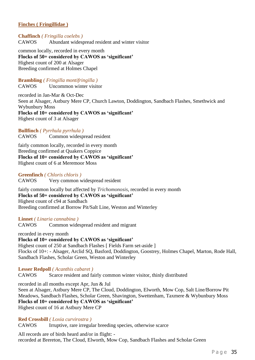#### **Finches ( Fringillidae )**

**Chaffinch** *( Fringilla coelebs )* CAWOS Abundant widespread resident and winter visitor

common locally, recorded in every month **Flocks of 50+ considered by CAWOS as 'significant'** Highest count of 200 at Alsager Breeding confirmed at Holmes Chapel

**Brambling** *( Fringilla montifringilla )* CAWOS Uncommon winter visitor

recorded in Jan-Mar & Oct-Dec Seen at Alsager, Astbury Mere CP, Church Lawton, Doddington, Sandbach Flashes, Smethwick and Wybunbury Moss **Flocks of 10+ considered by CAWOS as 'significant'** Highest count of 3 at Alsager

**Bullfinch** *( Pyrrhula pyrrhula )* CAWOS Common widespread resident

fairly common locally, recorded in every month Breeding confirmed at Quakers Coppice **Flocks of 10+ considered by CAWOS as 'significant'** Highest count of 6 at Meremoor Moss

**Greenfinch** *( Chloris chloris )*

CAWOS Very common widespread resident

fairly common locally but affected by *Trichomonosis*, recorded in every month **Flocks of 50+ considered by CAWOS as 'significant'** Highest count of c94 at Sandbach Breeding confirmed at Borrow Pit/Salt Line, Weston and Winterley

**Linnet** *( Linaria cannabina )* CAWOS Common widespread resident and migrant

recorded in every month **Flocks of 10+ considered by CAWOS as 'significant'** Highest count of 250 at Sandbach Flashes [ Fields Farm set-aside ] Flocks of 10+: - Alsager, Arclid SQ, Basford, Doddington, Goostrey, Holmes Chapel, Marton, Rode Hall, Sandbach Flashes, Scholar Green, Weston and Winterley

**Lesser Redpoll** *( Acanthis cabaret )* CAWOS Scarce resident and fairly common winter visitor, thinly distributed

recorded in all months except Apr, Jun & Jul Seen at Alsager, Astbury Mere CP, The Cloud, Doddington, Elworth, Mow Cop, Salt Line/Borrow Pit Meadows, Sandbach Flashes, Scholar Green, Shavington, Swettenham, Taxmere & Wybunbury Moss **Flocks of 10+ considered by CAWOS as 'significant'** Highest count of 16 at Astbury Mere CP

**Red Crossbill** *( Loxia curvirostra )*

CAWOS Irruptive, rare irregular breeding species, otherwise scarce

All records are of birds heard and/or in flight: recorded at Brereton, The Cloud, Elworth, Mow Cop, Sandbach Flashes and Scholar Green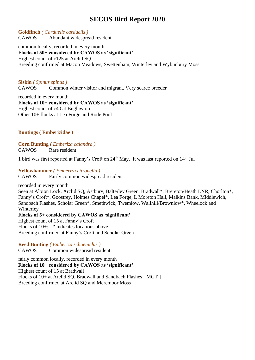#### **Goldfinch** *( Carduelis carduelis )*

CAWOS Abundant widespread resident

common locally, recorded in every month **Flocks of 50+ considered by CAWOS as 'significant'** Highest count of c125 at Arclid SQ Breeding confirmed at Macon Meadows, Swettenham, Winterley and Wybunbury Moss

**Siskin** *( Spinus spinus )* CAWOS Common winter visitor and migrant, Very scarce breeder

recorded in every month **Flocks of 10+ considered by CAWOS as 'significant'** Highest count of c40 at Buglawton Other 10+ flocks at Lea Forge and Rode Pool

### **Buntings ( Emberizidae )**

**Corn Bunting** *( Emberiza calandra )* CAWOS Rare resident

1 bird was first reported at Fanny's Croft on 24th May. It was last reported on 14th Jul

**Yellowhammer** *( Emberiza citronella )*

CAWOS Fairly common widespread resident

recorded in every month

Seen at Albion Lock, Arclid SQ, Astbury, Balterley Green, Bradwall\*, Brereton/Heath LNR, Chorlton\*, Fanny's Croft\*, Goostrey, Holmes Chapel\*, Lea Forge, L Moreton Hall, Malkins Bank, Middlewich, Sandbach Flashes, Scholar Green\*, Smethwick, Twemlow, Wallhill/Brownlow\*, Wheelock and **Winterley** 

**Flocks of 5+ considered by CAWOS as 'significant'** Highest count of 15 at Fanny's Croft Flocks of 10+: - \* indicates locations above Breeding confirmed at Fanny's Croft and Scholar Green

**Reed Bunting** *( Emberiza schoeniclus )* CAWOS Common widespread resident

fairly common locally, recorded in every month **Flocks of 10+ considered by CAWOS as 'significant'** Highest count of 15 at Bradwall Flocks of 10+ at Arclid SQ, Bradwall and Sandbach Flashes [ MGT ] Breeding confirmed at Arclid SQ and Meremoor Moss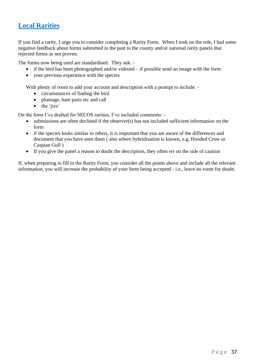### <span id="page-36-0"></span>**Local Rarities**

If you find a rarity, I urge you to consider completing a Rarity Form. When I took on the role, I had some negative feedback about forms submitted in the past to the county and/or national rarity panels that rejected forms as not proven.

The forms now being used are standardised. They ask: -

- if the bird has been photographed and/or videoed if possible send an image with the form
- your previous experience with the species

With plenty of room to add your account and description with a prompt to include: -

- circumstances of finding the bird
- plumage, bare parts etc and call
- the 'jizz'

On the form I've drafted for SECOS rarities, I've included comments: -

- submissions are often declined if the observer(s) has not included sufficient information on the form
- if the species looks similar to others, it is important that you are aware of the differences and document that you have seen them ( also where hybridisation is known, e.g. Hooded Crow or Caspian Gull )
- If you give the panel a reason to doubt the description, they often err on the side of caution

If, when preparing to fill in the Rarity Form, you consider all the points above and include all the relevant information, you will increase the probability of your form being accepted - i.e., leave no room for doubt.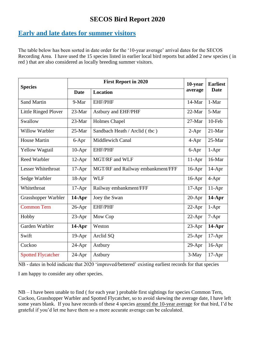# <span id="page-37-0"></span>**Early and late dates for summer visitors**

The table below has been sorted in date order for the '10-year average' arrival dates for the SECOS Recording Area. I have used the 15 species listed in earlier local bird reports but added 2 new species ( in red ) that are also considered as locally breeding summer visitors.

| <b>Species</b>              |             | 10-year                           | <b>Earliest</b> |             |
|-----------------------------|-------------|-----------------------------------|-----------------|-------------|
|                             | <b>Date</b> | <b>Location</b>                   | average         | <b>Date</b> |
| <b>Sand Martin</b>          | 9-Mar       | <b>EHF/PHF</b>                    | 14-Mar          | 1-Mar       |
| <b>Little Ringed Plover</b> | 23-Mar      | Astbury and EHF/PHF               | 22-Mar          | 5-Mar       |
| Swallow                     | 23-Mar      | Holmes Chapel                     | 27-Mar          | 10-Feb      |
| <b>Willow Warbler</b>       | 25-Mar      | Sandbach Heath / Arclid (tbc)     | $2-Apr$         | 21-Mar      |
| <b>House Martin</b>         | 6-Apr       | Middlewich Canal                  | 4-Apr           | 25-Mar      |
| <b>Yellow Wagtail</b>       | $10-Apr$    | <b>EHF/PHF</b>                    | 6-Apr           | $1-Apr$     |
| <b>Reed Warbler</b>         | $12-Apr$    | MGT/RF and WLF                    | 11-Apr          | 16-Mar      |
| <b>Lesser Whitethroat</b>   | $17-Apr$    | MGT/RF and Railway embankment/FFF | 16-Apr          | $14$ -Apr   |
| Sedge Warbler               | 18-Apr      | <b>WLF</b>                        | 16-Apr          | $4-Apr$     |
| Whitethroat                 | $17-Apr$    | Railway embankment/FFF            | $17-Apr$        | $11-Apr$    |
| Grasshopper Warbler         | $14-Apr$    | Joey the Swan                     | 20-Apr          | $14$ -Apr   |
| <b>Common Tern</b>          | $26$ -Apr   | <b>EHF/PHF</b>                    | 22-Apr          | $1-Apr$     |
| Hobby                       | $23-Apr$    | Mow Cop                           | 22-Apr          | $7-Apr$     |
| Garden Warbler              | $14-Apr$    | Weston                            | 23-Apr          | $14$ -Apr   |
| Swift                       | 19-Apr      | Arclid SQ                         | $25-Apr$        | $17-Apr$    |
| Cuckoo                      | $24-Apr$    | Astbury                           | $29-Apr$        | 16-Apr      |
| <b>Spotted Flycatcher</b>   | $24-Apr$    | Astbury                           | 3-May           | $17-Apr$    |

NB - dates in bold indicate that 2020 'improved/bettered' existing earliest records for that species

I am happy to consider any other species.

NB – I have been unable to find ( for each year ) probable first sightings for species Common Tern, Cuckoo, Grasshopper Warbler and Spotted Flycatcher, so to avoid skewing the average date, I have left some years blank. If you have records of these 4 species around the 10-year average for that bird, I'd be grateful if you'd let me have them so a more accurate average can be calculated.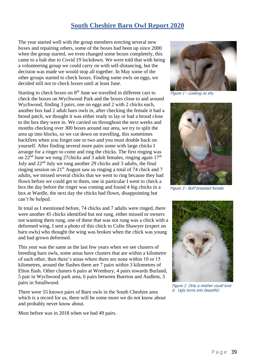### **South Cheshire Barn Owl Report 2020**

<span id="page-38-0"></span>The year started well with the group members erecting several new boxes and repairing others, some of the boxes had been up since 2000 when the group started, we even changed some boxes completely, this came to a halt due to Covid 19 lockdown. We were told that with being a volunteering group we could carry on with self-distancing, but the decision was made we would stop all together. In May some of the other groups started to check boxes. Finding some owls on eggs, we decided still not to check boxes until at least June.

Starting to check boxes on  $8<sup>th</sup>$  June we travelled in different cars to check the boxes on Wychwood Park and the boxes close to and around Wychwood, finding 3 pairs, one on eggs and 2 with 2 chicks each, another box had 2 adult barn owls in, after checking the female it had a brood patch, we thought it was either ready to lay or had a brood close to the box they were in. We carried on throughout the next weeks and months checking over 300 boxes around our area, we try to split the area up into blocks, so we cut down on travelling, this sometimes backfires when you forget one or two and you must double back on yourself. After finding several more pairs some with large chicks I arrange for a ringer to come and ring the chicks. The first ringing was on  $22<sup>nd</sup>$  June we rung 27chicks and 3 adult females, ringing again  $17<sup>th</sup>$ July and 22nd July we rung another 29 chicks and 3 adults, the final ringing session on 21st August saw us ringing a total of 74 chick and 7 adults, we missed several chicks that we went to ring because they had flown before we could get to them, one in particular I went to check a box the day before the ringer was coming and found 4 big chicks in a box at Wardle, the next day the chicks had flown, disappointing but can't be helped.

In total as I mentioned before, 74 chicks and 7 adults were ringed, there were another 45 chicks identified but not rung, either missed or owners not wanting them rung, one of these that was not rung was a chick with a deformed wing, I sent a photo of this chick to Colin Shawyer (expert on barn owls) who thought the wing was broken when the chick was young and had grown deformed.

This year was the same as the last few years when we see clusters of breeding barn owls, some areas have clusters that are within a kilometre of each other, then there's areas where there are none within 10 or 15 kilometres, around the flashes there are 7 pairs within 3 kilometres of Elton flash. Other clusters 6 pairs at Wrenbury, 4 pairs towards Burland, 5 pair in Wychwood park area, 6 pairs between Buerton and Audlem, 3 pairs in Smallwood.

There were 55 known pairs of Barn owls in the South Cheshire area which is a record for us, there will be some more we do not know about and probably never know about.

Most before was in 2018 when we had 49 pairs.



Figure 1 - Looking so shy



Figure 3 - Buff breasted female



Figure 2 Only a mother could love it. Ugly turns into beautiful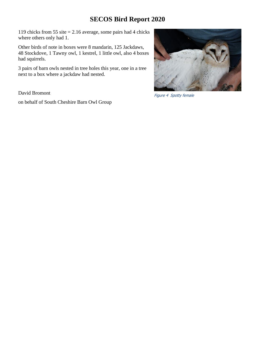119 chicks from 55 site = 2.16 average, some pairs had 4 chicks where others only had 1.

Other birds of note in boxes were 8 mandarin, 125 Jackdaws, 48 Stockdove, 1 Tawny owl, 1 kestrel, 1 little owl, also 4 boxes had squirrels.

3 pairs of barn owls nested in tree holes this year, one in a tree next to a box where a jackdaw had nested.

David Bromont

on behalf of South Cheshire Barn Owl Group

Figure 4 Spotty female

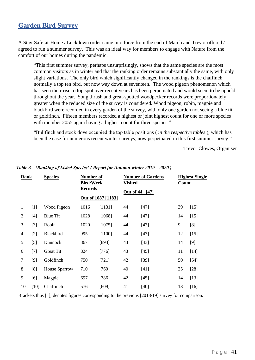### <span id="page-40-0"></span>**Garden Bird Survey**

A Stay-Safe-at-Home / Lockdown order came into force from the end of March and Trevor offered / agreed to run a summer survey. This was an ideal way for members to engage with Nature from the comfort of our homes during the pandemic.

"This first summer survey, perhaps unsurprisingly, shows that the same species are the most common visitors as in winter and that the ranking order remains substantially the same, with only slight variations. The only bird which significantly changed in the rankings is the chaffinch, normally a top ten bird, but now way down at seventeen. The wood pigeon phenomenon which has seen their rise to top spot over recent years has been perpetuated and would seem to be upheld throughout the year. Song thrush and great-spotted woodpecker records were proportionately greater when the reduced size of the survey is considered. Wood pigeon, robin, magpie and blackbird were recorded in every garden of the survey, with only one garden not seeing a blue tit or goldfinch. Fifteen members recorded a highest or joint highest count for one or more species with member 2055 again having a highest count for three species."

"Bullfinch and stock dove occupied the top table positions ( *in the respective tables* ), which has been the case for numerous recent winter surveys, now perpetuated in this first summer survey."

Trevor Clowes, Organiser

| Rank           |       | <b>Species</b>       | Number of<br><b>Bird/Week</b> |                    | <b>Visited</b> | <b>Number of Gardens</b> | <b>Highest Single</b><br>Count |        |
|----------------|-------|----------------------|-------------------------------|--------------------|----------------|--------------------------|--------------------------------|--------|
|                |       |                      |                               | <b>Records</b>     |                | Out of 44<br>$[47]$      |                                |        |
|                |       |                      |                               | Out of 1087 [1183] |                |                          |                                |        |
| $\mathbf{1}$   | $[1]$ | Wood Pigeon          | 1016                          | [1131]             | 44             | $[47]$                   | 39                             | $[15]$ |
| $\overline{2}$ | $[4]$ | <b>Blue Tit</b>      | 1028                          | [1068]             | 44             | $[47]$                   | 14                             | $[15]$ |
| 3              | $[3]$ | Robin                | 1020                          | [1075]             | 44             | $[47]$                   | 9                              | [8]    |
| $\overline{4}$ | $[2]$ | Blackbird            | 995                           | [1100]             | 44             | $[47]$                   | 12                             | $[15]$ |
| 5              | $[5]$ | Dunnock              | 867                           | [893]              | 43             | $[43]$                   | 14                             | $[9]$  |
| 6              | $[7]$ | <b>Great Tit</b>     | 824                           | $[776]$            | 43             | $[45]$                   | 11                             | $[14]$ |
| $\tau$         | [9]   | Goldfinch            | 750                           | $[721]$            | 42             | $[39]$                   | 50                             | $[54]$ |
| 8              | [8]   | <b>House Sparrow</b> | 710                           | $[760]$            | 40             | [41]                     | 25                             | $[28]$ |
| 9              | [6]   | Magpie               | 697                           | $[786]$            | 42             | $[45]$                   | 14                             | $[13]$ |
| 10             | [10]  | Chaffinch            | 576                           | [609]              | 41             | $[40]$                   | 18                             | $[16]$ |

#### *Table 3 – 'Ranking of Listed Species' ( Report for Autumn-winter 2019 – 2020 )*

Brackets thus [ ], denotes figures corresponding to the previous [2018/19] survey for comparison.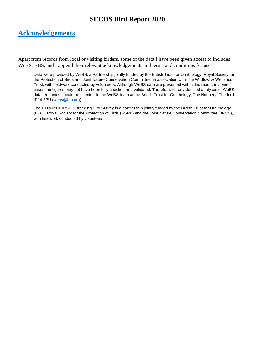### <span id="page-41-0"></span>**Acknowledgements**

Apart from records from local or visiting birders, some of the data I have been given access to includes WeBS, BBS, and I append their relevant acknowledgements and terms and conditions for use: -

Data were provided by WeBS, a Partnership jointly funded by the British Trust for Ornithology, Royal Society for the Protection of Birds and Joint Nature Conservation Committee, in association with The Wildfowl & Wetlands Trust, with fieldwork conducted by volunteers. Although WeBS data are presented within this report, in some cases the figures may not have been fully checked and validated. Therefore, for any detailed analyses of WeBS data, enquiries should be directed to the WeBS team at the British Trust for Ornithology, The Nunnery, Thetford, IP24 2PU [\(webs@bto.org\)](mailto:webs@bto.org)

The BTO/JNCC/RSPB Breeding Bird Survey is a partnership jointly funded by the British Trust for Ornithology (BTO), Royal Society for the Protection of Birds (RSPB) and the Joint Nature Conservation Committee (JNCC), with fieldwork conducted by volunteers.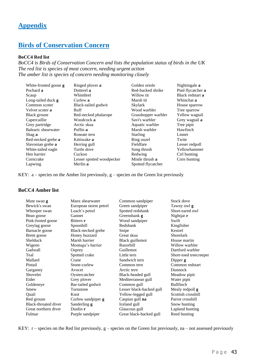### <span id="page-42-0"></span>**Appendix**

# <span id="page-42-1"></span>**Birds of Conservation Concern**

#### **BoCC4 Red list**

*BoCC4 is Birds of Conservation Concern and lists the population status of birds in the UK The red list is species of most concern, needing urgent action The amber list is species of concern needing monitoring closely*

| White-fronted goose <b>g</b> | Ringed plover a           | Golden oriole       | Nightingale <b>a</b> |
|------------------------------|---------------------------|---------------------|----------------------|
| Pochard a                    | Dotterel a                | Red-backed shrike   | Pied flycatcher a    |
| Scaup                        | Whimbrel                  | Willow tit          | Black redstart a     |
| Long-tailed duck <b>g</b>    | Curlew a                  | Marsh tit           | Whinchat a           |
| Common scoter                | Black-tailed godwit       | Skylark             | House sparrow        |
| Velvet scoter a              | Ruff                      | Wood warbler        | Tree sparrow         |
| Black grouse                 | Red-necked phalarope      | Grasshopper warbler | Yellow wagtail       |
| Capercaillie                 | Woodcock a                | Savi's warbler      | Grey wagtail a       |
| Grey partridge               | Arctic skua               | Aquatic warbler     | Tree pipit           |
| Balearic shearwater          | Puffin a                  | Marsh warbler       | Hawfinch             |
| Shag a                       | Roseate tern              | <b>Starling</b>     | Linnet               |
| Red-necked grebe a           | Kittiwake <b>a</b>        | Ring ouzel          | Twite                |
| Slavonian grebe a            | Herring gull              | Fieldfare           | Lesser redpoll       |
| White-tailed eagle           | Turtle dove               | Song thrush         | Yellowhammer         |
| Hen harrier                  | Cuckoo                    | Redwing             | Cirl bunting         |
| Corncrake                    | Lesser spotted woodpecker | Mistle thrush a     | Corn bunting         |
| Lapwing                      | Merlin a                  | Spotted flycatcher  |                      |

KEY:  $a$  – species on the Amber list previously,  $g$  – species on the Green list previously

#### **BoCC4 Amber list**

| Mute swan <b>g</b>   | Manx shearwater       | Common sandpiper         | Stock dove             |
|----------------------|-----------------------|--------------------------|------------------------|
| Bewick's swan        | European storm petrel | Green sandpiper          | Tawny owl <b>g</b>     |
| Whooper swan         | Leach's petrel        | Spotted redshank         | Short-eared owl        |
| Bean goose           | Gannet                | Greenshank <b>g</b>      | Nightjar r             |
| Pink-footed goose    | Bittern r             | Wood sandpiper           | Swift                  |
| Greylag goose        | Spoonbill             | Redshank                 | Kingfisher             |
| Barnacle goose       | Black-necked grebe    | Snipe                    | Kestrel                |
| Brent goose          | Honey buzzard         | Great skua               | <b>Shorelark</b>       |
| Shelduck             | Marsh harrier         | Black guillemot          | House martin           |
| Wigeon               | Montagu's harrier     | Razorbill                | Willow warbler         |
| Gadwall              | Osprey                | Guillemot                | Dartford warbler       |
| Teal                 | Spotted crake         | Little tern              | Short-toed treecreeper |
| Mallard              | Crane                 | Sandwich tern            | Dipper g               |
| Pintail              | Stone-curlew          | Common tern              | Common redstart        |
| Garganey             | Avocet                | Arctic tern              | Dunnock                |
| Shoveler             | Oystercatcher         | Black-headed gull        | Meadow pipit           |
| Eider                | Grey plover           | Mediterranean gull       | Water pipit            |
| Goldeneye            | Bar-tailed godwit     | Common gull              | <b>Bullfinch</b>       |
| Smew                 | Turnstone             | Lesser black-backed gull | Mealy redpoll g        |
| Quail                | Knot                  | Yellow-legged gull       | Scottish crossbill     |
| Red grouse           | Curlew sandpiper g    | Caspian gull na          | Parrot crossbill       |
| Black-throated diver | Sanderling g          | Iceland gull             | Snow bunting           |
| Great northern diver | Dunlin $r$            | Glaucous gull            | Lapland bunting        |
| Fulmar               | Purple sandpiper      | Great black-backed gull  | Reed bunting           |

KEY:  $r$  – species on the Red list previously,  $g$  – species on the Green list previously, na – not assessed previously